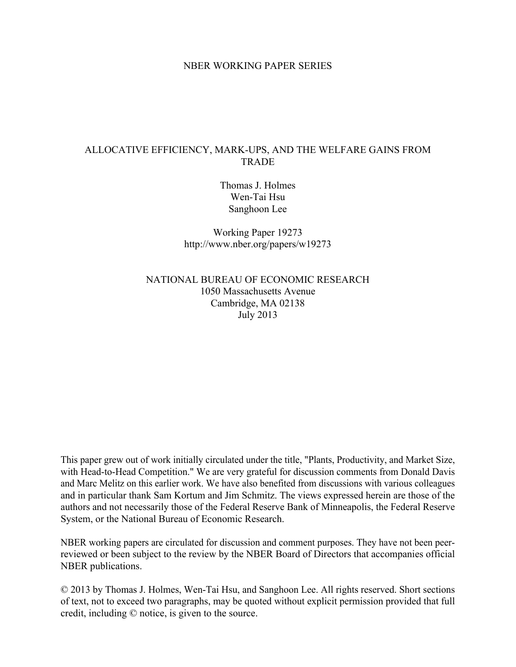#### NBER WORKING PAPER SERIES

#### ALLOCATIVE EFFICIENCY, MARK-UPS, AND THE WELFARE GAINS FROM **TRADE**

Thomas J. Holmes Wen-Tai Hsu Sanghoon Lee

Working Paper 19273 http://www.nber.org/papers/w19273

NATIONAL BUREAU OF ECONOMIC RESEARCH 1050 Massachusetts Avenue Cambridge, MA 02138 July 2013

This paper grew out of work initially circulated under the title, "Plants, Productivity, and Market Size, with Head-to-Head Competition." We are very grateful for discussion comments from Donald Davis and Marc Melitz on this earlier work. We have also benefited from discussions with various colleagues and in particular thank Sam Kortum and Jim Schmitz. The views expressed herein are those of the authors and not necessarily those of the Federal Reserve Bank of Minneapolis, the Federal Reserve System, or the National Bureau of Economic Research.

NBER working papers are circulated for discussion and comment purposes. They have not been peerreviewed or been subject to the review by the NBER Board of Directors that accompanies official NBER publications.

© 2013 by Thomas J. Holmes, Wen-Tai Hsu, and Sanghoon Lee. All rights reserved. Short sections of text, not to exceed two paragraphs, may be quoted without explicit permission provided that full credit, including © notice, is given to the source.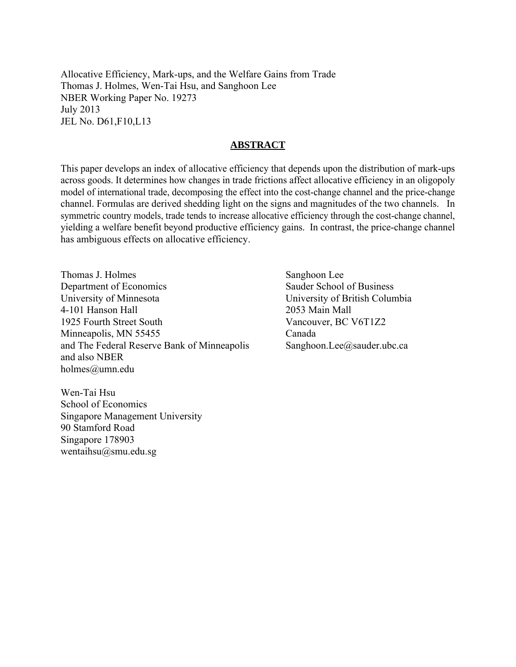Allocative Efficiency, Mark-ups, and the Welfare Gains from Trade Thomas J. Holmes, Wen-Tai Hsu, and Sanghoon Lee NBER Working Paper No. 19273 July 2013 JEL No. D61,F10,L13

#### **ABSTRACT**

This paper develops an index of allocative efficiency that depends upon the distribution of mark-ups across goods. It determines how changes in trade frictions affect allocative efficiency in an oligopoly model of international trade, decomposing the effect into the cost-change channel and the price-change channel. Formulas are derived shedding light on the signs and magnitudes of the two channels. In symmetric country models, trade tends to increase allocative efficiency through the cost-change channel, yielding a welfare benefit beyond productive efficiency gains. In contrast, the price-change channel has ambiguous effects on allocative efficiency.

Thomas J. Holmes Department of Economics University of Minnesota 4-101 Hanson Hall 1925 Fourth Street South Minneapolis, MN 55455 and The Federal Reserve Bank of Minneapolis and also NBER holmes@umn.edu

Wen-Tai Hsu School of Economics Singapore Management University 90 Stamford Road Singapore 178903 wentaihsu@smu.edu.sg

 Sanghoon Lee Sauder School of Business University of British Columbia 2053 Main Mall Vancouver, BC V6T1Z2 Canada Sanghoon.Lee@sauder.ubc.ca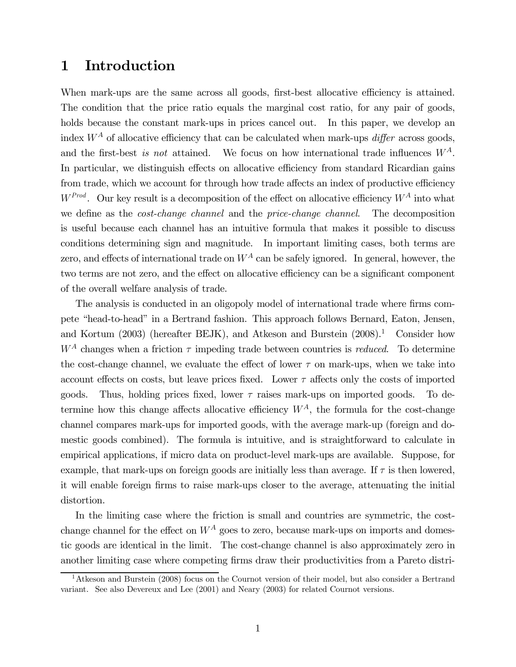# 1 Introduction

When mark-ups are the same across all goods, first-best allocative efficiency is attained. The condition that the price ratio equals the marginal cost ratio, for any pair of goods, holds because the constant mark-ups in prices cancel out. In this paper, we develop an index  $W^A$  of allocative efficiency that can be calculated when mark-ups *differ* across goods, and the first-best is not attained. We focus on how international trade influences  $W^A$ . In particular, we distinguish effects on allocative efficiency from standard Ricardian gains from trade, which we account for through how trade affects an index of productive efficiency  $W^{Prod}$ . Our key result is a decomposition of the effect on allocative efficiency  $W^A$  into what we define as the cost-change channel and the price-change channel. The decomposition is useful because each channel has an intuitive formula that makes it possible to discuss conditions determining sign and magnitude. In important limiting cases, both terms are zero, and effects of international trade on  $W^A$  can be safely ignored. In general, however, the two terms are not zero, and the effect on allocative efficiency can be a significant component of the overall welfare analysis of trade.

The analysis is conducted in an oligopoly model of international trade where firms compete "head-to-head" in a Bertrand fashion. This approach follows Bernard, Eaton, Jensen, and Kortum  $(2003)$  (hereafter BEJK), and Atkeson and Burstein  $(2008).$ <sup>1</sup> Consider how  $W^A$  changes when a friction  $\tau$  impeding trade between countries is *reduced*. To determine the cost-change channel, we evaluate the effect of lower  $\tau$  on mark-ups, when we take into account effects on costs, but leave prices fixed. Lower  $\tau$  affects only the costs of imported goods. Thus, holding prices fixed, lower  $\tau$  raises mark-ups on imported goods. To determine how this change affects allocative efficiency  $W^A$ , the formula for the cost-change channel compares mark-ups for imported goods, with the average mark-up (foreign and domestic goods combined). The formula is intuitive, and is straightforward to calculate in empirical applications, if micro data on product-level mark-ups are available. Suppose, for example, that mark-ups on foreign goods are initially less than average. If  $\tau$  is then lowered, it will enable foreign firms to raise mark-ups closer to the average, attenuating the initial distortion.

In the limiting case where the friction is small and countries are symmetric, the costchange channel for the effect on  $W^A$  goes to zero, because mark-ups on imports and domestic goods are identical in the limit. The cost-change channel is also approximately zero in another limiting case where competing firms draw their productivities from a Pareto distri-

<sup>1</sup>Atkeson and Burstein (2008) focus on the Cournot version of their model, but also consider a Bertrand variant. See also Devereux and Lee (2001) and Neary (2003) for related Cournot versions.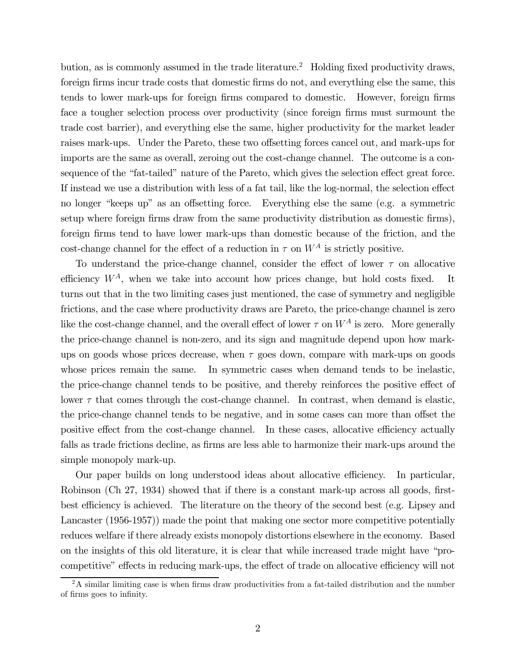bution, as is commonly assumed in the trade literature.<sup>2</sup> Holding fixed productivity draws, foreign firms incur trade costs that domestic firms do not, and everything else the same, this tends to lower mark-ups for foreign firms compared to domestic. However, foreign firms face a tougher selection process over productivity (since foreign firms must surmount the trade cost barrier), and everything else the same, higher productivity for the market leader raises mark-ups. Under the Pareto, these two offsetting forces cancel out, and mark-ups for imports are the same as overall, zeroing out the cost-change channel. The outcome is a consequence of the "fat-tailed" nature of the Pareto, which gives the selection effect great force. If instead we use a distribution with less of a fat tail, like the log-normal, the selection effect no longer "keeps up" as an offsetting force. Everything else the same (e.g. a symmetric setup where foreign firms draw from the same productivity distribution as domestic firms), foreign firms tend to have lower mark-ups than domestic because of the friction, and the cost-change channel for the effect of a reduction in  $\tau$  on  $W^A$  is strictly positive.

To understand the price-change channel, consider the effect of lower  $\tau$  on allocative efficiency  $W^A$ , when we take into account how prices change, but hold costs fixed. It turns out that in the two limiting cases just mentioned, the case of symmetry and negligible frictions, and the case where productivity draws are Pareto, the price-change channel is zero like the cost-change channel, and the overall effect of lower  $\tau$  on  $W^A$  is zero. More generally the price-change channel is non-zero, and its sign and magnitude depend upon how markups on goods whose prices decrease, when  $\tau$  goes down, compare with mark-ups on goods whose prices remain the same. In symmetric cases when demand tends to be inelastic, the price-change channel tends to be positive, and thereby reinforces the positive effect of lower  $\tau$  that comes through the cost-change channel. In contrast, when demand is elastic, the price-change channel tends to be negative, and in some cases can more than offset the positive effect from the cost-change channel. In these cases, allocative efficiency actually falls as trade frictions decline, as firms are less able to harmonize their mark-ups around the simple monopoly mark-up.

Our paper builds on long understood ideas about allocative efficiency. In particular, Robinson (Ch 27, 1934) showed that if there is a constant mark-up across all goods, firstbest efficiency is achieved. The literature on the theory of the second best (e.g. Lipsey and Lancaster (1956-1957)) made the point that making one sector more competitive potentially reduces welfare if there already exists monopoly distortions elsewhere in the economy. Based on the insights of this old literature, it is clear that while increased trade might have "procompetitive" effects in reducing mark-ups, the effect of trade on allocative efficiency will not

 $2A$  similar limiting case is when firms draw productivities from a fat-tailed distribution and the number of firms goes to infinity.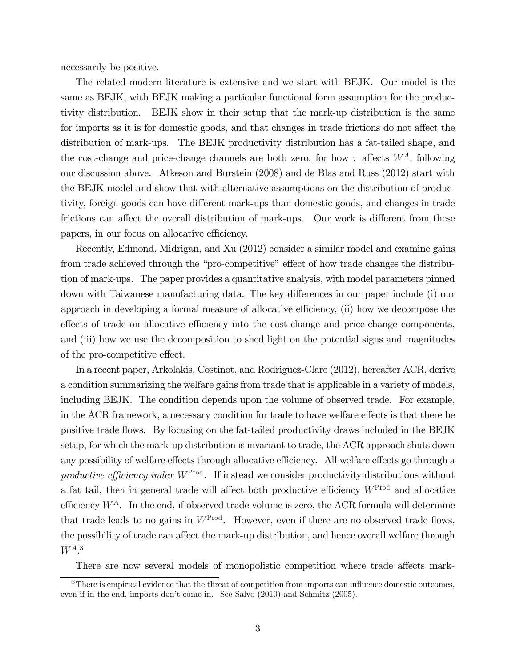necessarily be positive.

The related modern literature is extensive and we start with BEJK. Our model is the same as BEJK, with BEJK making a particular functional form assumption for the productivity distribution. BEJK show in their setup that the mark-up distribution is the same for imports as it is for domestic goods, and that changes in trade frictions do not affect the distribution of mark-ups. The BEJK productivity distribution has a fat-tailed shape, and the cost-change and price-change channels are both zero, for how  $\tau$  affects  $W^A$ , following our discussion above. Atkeson and Burstein (2008) and de Blas and Russ (2012) start with the BEJK model and show that with alternative assumptions on the distribution of productivity, foreign goods can have different mark-ups than domestic goods, and changes in trade frictions can affect the overall distribution of mark-ups. Our work is different from these papers, in our focus on allocative efficiency.

Recently, Edmond, Midrigan, and Xu (2012) consider a similar model and examine gains from trade achieved through the "pro-competitive" effect of how trade changes the distribution of mark-ups. The paper provides a quantitative analysis, with model parameters pinned down with Taiwanese manufacturing data. The key differences in our paper include (i) our approach in developing a formal measure of allocative efficiency, (ii) how we decompose the effects of trade on allocative efficiency into the cost-change and price-change components, and (iii) how we use the decomposition to shed light on the potential signs and magnitudes of the pro-competitive effect.

In a recent paper, Arkolakis, Costinot, and Rodriguez-Clare (2012), hereafter ACR, derive a condition summarizing the welfare gains from trade that is applicable in a variety of models, including BEJK. The condition depends upon the volume of observed trade. For example, in the ACR framework, a necessary condition for trade to have welfare effects is that there be positive trade flows. By focusing on the fat-tailed productivity draws included in the BEJK setup, for which the mark-up distribution is invariant to trade, the ACR approach shuts down any possibility of welfare effects through allocative efficiency. All welfare effects go through a productive efficiency index  $W^{\text{Prod}}$ . If instead we consider productivity distributions without a fat tail, then in general trade will affect both productive efficiency  $W^{Prod}$  and allocative efficiency  $W^A$ . In the end, if observed trade volume is zero, the ACR formula will determine that trade leads to no gains in  $W^{\text{Prod}}$ . However, even if there are no observed trade flows, the possibility of trade can affect the mark-up distribution, and hence overall welfare through  $W^{A}$ <sup>3</sup>

There are now several models of monopolistic competition where trade affects mark-

<sup>&</sup>lt;sup>3</sup>There is empirical evidence that the threat of competition from imports can influence domestic outcomes, even if in the end, imports don't come in. See Salvo (2010) and Schmitz (2005).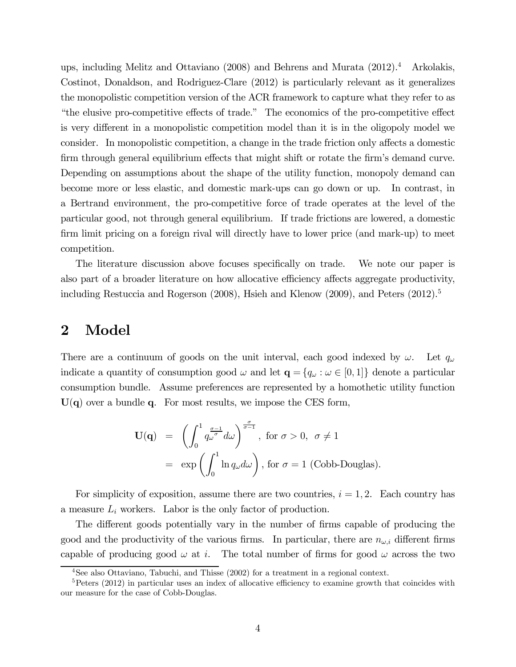ups, including Melitz and Ottaviano (2008) and Behrens and Murata (2012).4 Arkolakis, Costinot, Donaldson, and Rodriguez-Clare (2012) is particularly relevant as it generalizes the monopolistic competition version of the ACR framework to capture what they refer to as "the elusive pro-competitive effects of trade." The economics of the pro-competitive effect is very different in a monopolistic competition model than it is in the oligopoly model we consider. In monopolistic competition, a change in the trade friction only affects a domestic firm through general equilibrium effects that might shift or rotate the firm's demand curve. Depending on assumptions about the shape of the utility function, monopoly demand can become more or less elastic, and domestic mark-ups can go down or up. In contrast, in a Bertrand environment, the pro-competitive force of trade operates at the level of the particular good, not through general equilibrium. If trade frictions are lowered, a domestic firm limit pricing on a foreign rival will directly have to lower price (and mark-up) to meet competition.

The literature discussion above focuses specifically on trade. We note our paper is also part of a broader literature on how allocative efficiency affects aggregate productivity, including Restuccia and Rogerson  $(2008)$ , Hsieh and Klenow  $(2009)$ , and Peters  $(2012)$ .<sup>5</sup>

### 2 Model

There are a continuum of goods on the unit interval, each good indexed by  $\omega$ . Let  $q_{\omega}$ indicate a quantity of consumption good  $\omega$  and let  $\mathbf{q} = \{q_{\omega} : \omega \in [0,1]\}$  denote a particular consumption bundle. Assume preferences are represented by a homothetic utility function  $U(q)$  over a bundle q. For most results, we impose the CES form,

$$
\mathbf{U}(\mathbf{q}) = \left( \int_0^1 q_{\omega}^{\frac{\sigma-1}{\sigma}} d\omega \right)^{\frac{\sigma}{\sigma-1}}, \text{ for } \sigma > 0, \ \sigma \neq 1
$$

$$
= \exp \left( \int_0^1 \ln q_{\omega} d\omega \right), \text{ for } \sigma = 1 \text{ (Cobb-Douglas)}.
$$

For simplicity of exposition, assume there are two countries,  $i = 1, 2$ . Each country has a measure  $L_i$  workers. Labor is the only factor of production.

The different goods potentially vary in the number of firms capable of producing the good and the productivity of the various firms. In particular, there are  $n_{\omega,i}$  different firms capable of producing good  $\omega$  at *i*. The total number of firms for good  $\omega$  across the two

<sup>4</sup>See also Ottaviano, Tabuchi, and Thisse (2002) for a treatment in a regional context.

 $5$ Peters (2012) in particular uses an index of allocative efficiency to examine growth that coincides with our measure for the case of Cobb-Douglas.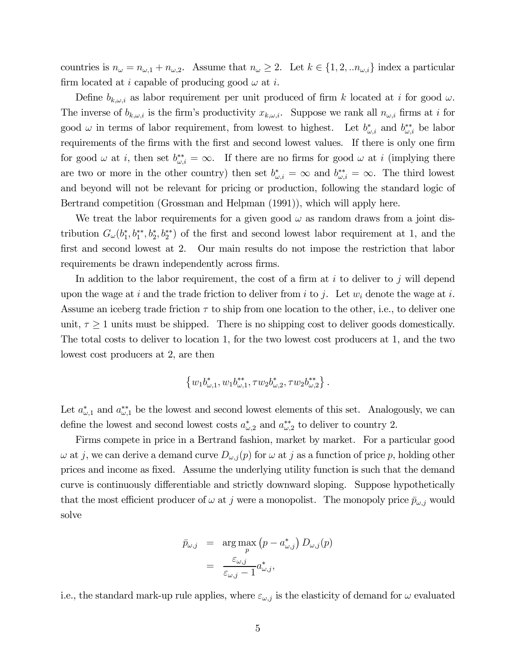countries is  $n_{\omega} = n_{\omega,1} + n_{\omega,2}$ . Assume that  $n_{\omega} \geq 2$ . Let  $k \in \{1, 2, ... n_{\omega,i}\}\$  index a particular firm located at *i* capable of producing good  $\omega$  at *i*.

Define  $b_{k,\omega,i}$  as labor requirement per unit produced of firm k located at i for good  $\omega$ . The inverse of  $b_{k,\omega,i}$  is the firm's productivity  $x_{k,\omega,i}$ . Suppose we rank all  $n_{\omega,i}$  firms at *i* for good  $\omega$  in terms of labor requirement, from lowest to highest. Let  $b^*_{\omega,i}$  and  $b^{**}_{\omega,i}$  be labor requirements of the firms with the first and second lowest values. If there is only one firm for good  $\omega$  at *i*, then set  $b_{\omega,i}^{**} = \infty$ . If there are no firms for good  $\omega$  at *i* (implying there are two or more in the other country) then set  $b^*_{\omega,i} = \infty$  and  $b^{**}_{\omega,i} = \infty$ . The third lowest and beyond will not be relevant for pricing or production, following the standard logic of Bertrand competition (Grossman and Helpman (1991)), which will apply here.

We treat the labor requirements for a given good  $\omega$  as random draws from a joint distribution  $G_{\omega}(b_1^*, b_1^{**}, b_2^*, b_2^{**})$  of the first and second lowest labor requirement at 1, and the first and second lowest at 2. Our main results do not impose the restriction that labor requirements be drawn independently across firms.

In addition to the labor requirement, the cost of a firm at  $i$  to deliver to  $j$  will depend upon the wage at i and the trade friction to deliver from i to j. Let  $w_i$  denote the wage at i. Assume an iceberg trade friction  $\tau$  to ship from one location to the other, i.e., to deliver one unit,  $\tau \geq 1$  units must be shipped. There is no shipping cost to deliver goods domestically. The total costs to deliver to location 1, for the two lowest cost producers at 1, and the two lowest cost producers at 2, are then

$$
\left\{w_1b_{\omega,1}^*, w_1b_{\omega,1}^{**}, \tau w_2b_{\omega,2}^*, \tau w_2b_{\omega,2}^{**}\right\}.
$$

Let  $a_{\omega,1}^*$  and  $a_{\omega,1}^{**}$  be the lowest and second lowest elements of this set. Analogously, we can define the lowest and second lowest costs  $a_{\omega,2}^*$  and  $a_{\omega,2}^{**}$  to deliver to country 2.

Firms compete in price in a Bertrand fashion, market by market. For a particular good  $\omega$  at j, we can derive a demand curve  $D_{\omega,j}(p)$  for  $\omega$  at j as a function of price p, holding other prices and income as fixed. Assume the underlying utility function is such that the demand curve is continuously differentiable and strictly downward sloping. Suppose hypothetically that the most efficient producer of  $\omega$  at j were a monopolist. The monopoly price  $\bar{p}_{\omega,i}$  would solve

$$
\bar{p}_{\omega,j} = \arg \max_{p} (p - a^*_{\omega,j}) D_{\omega,j}(p)
$$

$$
= \frac{\varepsilon_{\omega,j}}{\varepsilon_{\omega,j} - 1} a^*_{\omega,j},
$$

i.e., the standard mark-up rule applies, where  $\varepsilon_{\omega,j}$  is the elasticity of demand for  $\omega$  evaluated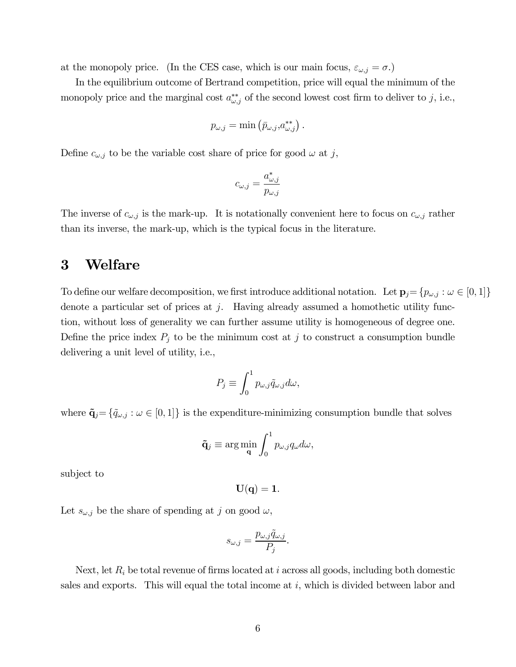at the monopoly price. (In the CES case, which is our main focus,  $\varepsilon_{\omega,j} = \sigma$ .)

In the equilibrium outcome of Bertrand competition, price will equal the minimum of the monopoly price and the marginal cost  $a_{\omega,j}^{**}$  of the second lowest cost firm to deliver to j, i.e.,

$$
p_{\omega,j} = \min \left( \bar{p}_{\omega,j}, a_{\omega,j}^{**} \right).
$$

Define  $c_{\omega,j}$  to be the variable cost share of price for good  $\omega$  at j,

$$
c_{\omega,j} = \frac{a^*_{\omega,j}}{p_{\omega,j}}
$$

The inverse of  $c_{\omega,j}$  is the mark-up. It is notationally convenient here to focus on  $c_{\omega,j}$  rather than its inverse, the mark-up, which is the typical focus in the literature.

# 3 Welfare

To define our welfare decomposition, we first introduce additional notation. Let  $\mathbf{p}_j = \{p_{\omega,j} : \omega \in [0,1]\}$ denote a particular set of prices at  $j$ . Having already assumed a homothetic utility function, without loss of generality we can further assume utility is homogeneous of degree one. Define the price index  $P_j$  to be the minimum cost at  $j$  to construct a consumption bundle delivering a unit level of utility, i.e.,

$$
P_j \equiv \int_0^1 p_{\omega,j} \tilde{q}_{\omega,j} d\omega,
$$

where  $\tilde{\mathbf{q}}_j = \{\tilde{q}_{\omega,j} : \omega \in [0,1]\}\$  is the expenditure-minimizing consumption bundle that solves

$$
\tilde{\mathbf{q}}_j \equiv \arg\min_{\mathbf{q}} \int_0^1 p_{\omega,j} q_\omega d\omega,
$$

subject to

 $U(q) = 1.$ 

Let  $s_{\omega,j}$  be the share of spending at j on good  $\omega$ ,

$$
s_{\omega,j} = \frac{p_{\omega,j}\tilde{q}_{\omega,j}}{P_j}.
$$

Next, let  $R_i$  be total revenue of firms located at  $i$  across all goods, including both domestic sales and exports. This will equal the total income at  $i$ , which is divided between labor and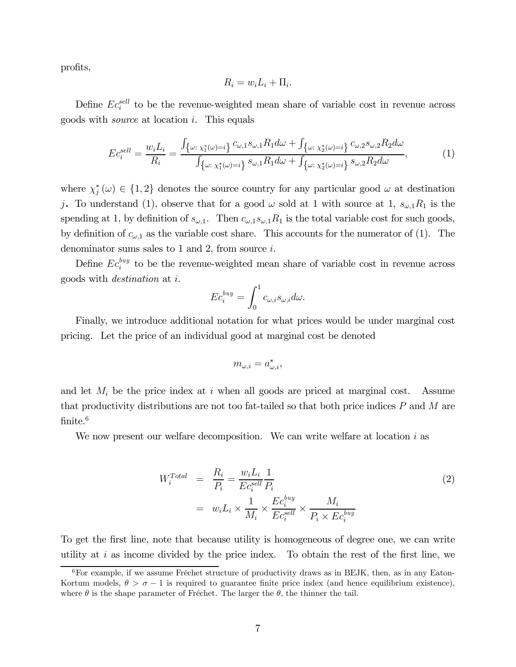profits,

$$
R_i = w_i L_i + \Pi_i.
$$

Define  $Ec_i^{sell}$  to be the revenue-weighted mean share of variable cost in revenue across goods with *source* at location  $i$ . This equals

$$
Ec_i^{sell} = \frac{w_i L_i}{R_i} = \frac{\int_{\{\omega: \chi_1^*(\omega) = i\}} c_{\omega,1} s_{\omega,1} R_1 d\omega + \int_{\{\omega: \chi_2^*(\omega) = i\}} c_{\omega,2} s_{\omega,2} R_2 d\omega}{\int_{\{\omega: \chi_1^*(\omega) = i\}} s_{\omega,1} R_1 d\omega + \int_{\{\omega: \chi_2^*(\omega) = i\}} s_{\omega,2} R_2 d\omega},\tag{1}
$$

where  $\chi_j^*(\omega) \in \{1,2\}$  denotes the source country for any particular good  $\omega$  at destination j. To understand (1), observe that for a good  $\omega$  sold at 1 with source at 1,  $s_{\omega,1}R_1$  is the spending at 1, by definition of  $s_{\omega,1}$ . Then  $c_{\omega,1} s_{\omega,1} R_1$  is the total variable cost for such goods, by definition of  $c_{\omega,1}$  as the variable cost share. This accounts for the numerator of (1). The denominator sums sales to 1 and 2, from source  $i$ .

Define  $Ec_i^{buy}$  to be the revenue-weighted mean share of variable cost in revenue across goods with *destination* at  $i$ .

$$
Ec_i^{buy} = \int_0^1 c_{\omega,i} s_{\omega,i} d\omega.
$$

Finally, we introduce additional notation for what prices would be under marginal cost pricing. Let the price of an individual good at marginal cost be denoted

$$
m_{\omega,i} = a^*_{\omega,i},
$$

and let  $M_i$  be the price index at  $i$  when all goods are priced at marginal cost. Assume that productivity distributions are not too fat-tailed so that both price indices  $P$  and  $M$  are finite.<sup>6</sup>

We now present our welfare decomposition. We can write welfare at location  $i$  as

$$
W_i^{Total} = \frac{R_i}{P_i} = \frac{w_i L_i}{E c_i^{sell}} \frac{1}{P_i}
$$
  
= 
$$
w_i L_i \times \frac{1}{M_i} \times \frac{E c_i^{buy}}{E c_i^{sell}} \times \frac{M_i}{P_i \times E c_i^{buy}}
$$
 (2)

To get the first line, note that because utility is homogeneous of degree one, we can write utility at  $i$  as income divided by the price index. To obtain the rest of the first line, we

 $6$ For example, if we assume Fréchet structure of productivity draws as in BEJK, then, as in any Eaton-Kortum models,  $\theta > \sigma - 1$  is required to guarantee finite price index (and hence equilibrium existence), where  $\theta$  is the shape parameter of Fréchet. The larger the  $\theta$ , the thinner the tail.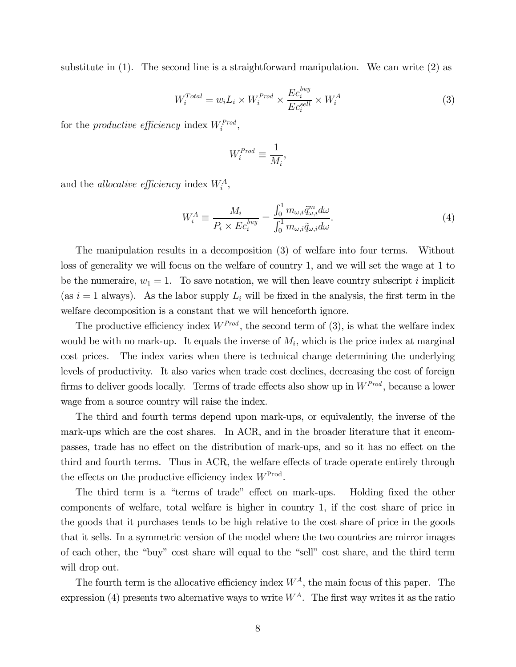substitute in (1). The second line is a straightforward manipulation. We can write (2) as

$$
W_i^{Total} = w_i L_i \times W_i^{Prod} \times \frac{Ec_i^{buy}}{Ec_i^{sell}} \times W_i^{A}
$$
 (3)

for the *productive efficiency* index  $W_i^{Prod}$ ,

$$
W_i^{Prod} \equiv \frac{1}{M_i},
$$

and the *allocative efficiency* index  $W_i^A$ ,

$$
W_i^A \equiv \frac{M_i}{P_i \times Ec_i^{buy}} = \frac{\int_0^1 m_{\omega,i} \tilde{q}_{\omega,i}^m d\omega}{\int_0^1 m_{\omega,i} \tilde{q}_{\omega,i} d\omega}.
$$
\n(4)

The manipulation results in a decomposition (3) of welfare into four terms. Without loss of generality we will focus on the welfare of country 1, and we will set the wage at 1 to be the numeraire,  $w_1 = 1$ . To save notation, we will then leave country subscript *i* implicit (as  $i = 1$  always). As the labor supply  $L_i$  will be fixed in the analysis, the first term in the welfare decomposition is a constant that we will henceforth ignore.

The productive efficiency index  $W^{Prod}$ , the second term of (3), is what the welfare index would be with no mark-up. It equals the inverse of  $M_i$ , which is the price index at marginal cost prices. The index varies when there is technical change determining the underlying levels of productivity. It also varies when trade cost declines, decreasing the cost of foreign firms to deliver goods locally. Terms of trade effects also show up in  $W^{Prod}$ , because a lower wage from a source country will raise the index.

The third and fourth terms depend upon mark-ups, or equivalently, the inverse of the mark-ups which are the cost shares. In ACR, and in the broader literature that it encompasses, trade has no effect on the distribution of mark-ups, and so it has no effect on the third and fourth terms. Thus in ACR, the welfare effects of trade operate entirely through the effects on the productive efficiency index  $W^{\text{Prod}}$ .

The third term is a "terms of trade" effect on mark-ups. Holding fixed the other components of welfare, total welfare is higher in country 1, if the cost share of price in the goods that it purchases tends to be high relative to the cost share of price in the goods that it sells. In a symmetric version of the model where the two countries are mirror images of each other, the "buy" cost share will equal to the "sell" cost share, and the third term will drop out.

The fourth term is the allocative efficiency index  $W^A$ , the main focus of this paper. The expression (4) presents two alternative ways to write  $W^A$ . The first way writes it as the ratio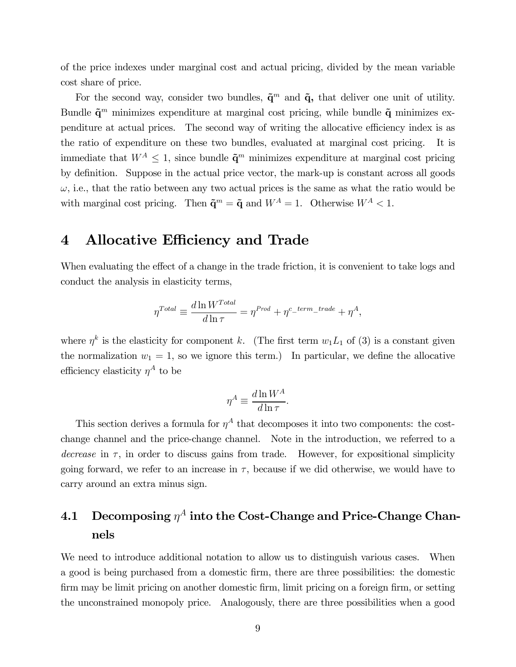of the price indexes under marginal cost and actual pricing, divided by the mean variable cost share of price.

For the second way, consider two bundles,  $\tilde{\mathbf{q}}^m$  and  $\tilde{\mathbf{q}}$ , that deliver one unit of utility. Bundle  $\tilde{\mathbf{q}}^m$  minimizes expenditure at marginal cost pricing, while bundle  $\tilde{\mathbf{q}}$  minimizes expenditure at actual prices. The second way of writing the allocative efficiency index is as the ratio of expenditure on these two bundles, evaluated at marginal cost pricing. It is immediate that  $W^A \leq 1$ , since bundle  $\tilde{\mathbf{q}}^m$  minimizes expenditure at marginal cost pricing by definition. Suppose in the actual price vector, the mark-up is constant across all goods  $\omega$ , i.e., that the ratio between any two actual prices is the same as what the ratio would be with marginal cost pricing. Then  $\tilde{\mathbf{q}}^m = \tilde{\mathbf{q}}$  and  $W^A = 1$ . Otherwise  $W^A < 1$ .

# 4 Allocative Efficiency and Trade

When evaluating the effect of a change in the trade friction, it is convenient to take logs and conduct the analysis in elasticity terms,

$$
\eta^{Total} \equiv \frac{d\ln W^{Total}}{d\ln \tau} = \eta^{Prod} + \eta^{c\_term\_trade} + \eta^{A},
$$

where  $\eta^k$  is the elasticity for component k. (The first term  $w_1 L_1$  of (3) is a constant given the normalization  $w_1 = 1$ , so we ignore this term.) In particular, we define the allocative efficiency elasticity  $\eta^A$  to be

$$
\eta^A \equiv \frac{d \ln W^A}{d \ln \tau}.
$$

This section derives a formula for  $\eta^A$  that decomposes it into two components: the costchange channel and the price-change channel. Note in the introduction, we referred to a decrease in  $\tau$ , in order to discuss gains from trade. However, for expositional simplicity going forward, we refer to an increase in  $\tau$ , because if we did otherwise, we would have to carry around an extra minus sign.

# 4.1 Decomposing  $\eta^A$  into the Cost-Change and Price-Change Channels

We need to introduce additional notation to allow us to distinguish various cases. When a good is being purchased from a domestic firm, there are three possibilities: the domestic firm may be limit pricing on another domestic firm, limit pricing on a foreign firm, or setting the unconstrained monopoly price. Analogously, there are three possibilities when a good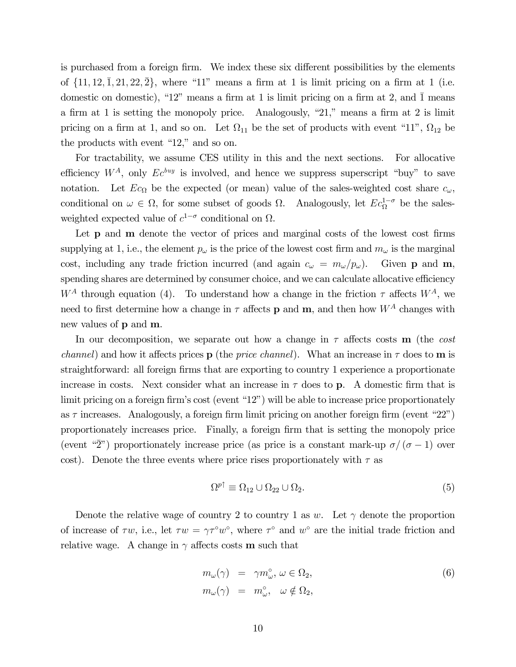is purchased from a foreign firm. We index these six different possibilities by the elements of  $\{11, 12, 1, 21, 22, 2\}$ , where "11" means a firm at 1 is limit pricing on a firm at 1 (i.e. domestic on domestic), "12" means a firm at 1 is limit pricing on a firm at 2, and  $\overline{1}$  means a firm at 1 is setting the monopoly price. Analogously, "21," means a firm at 2 is limit pricing on a firm at 1, and so on. Let  $\Omega_{11}$  be the set of products with event "11",  $\Omega_{12}$  be the products with event "12," and so on.

For tractability, we assume CES utility in this and the next sections. For allocative efficiency  $W^A$ , only  $Ec^{buy}$  is involved, and hence we suppress superscript "buy" to save notation. Let  $Ec_{\Omega}$  be the expected (or mean) value of the sales-weighted cost share  $c_{\omega}$ , conditional on  $\omega \in \Omega$ , for some subset of goods  $\Omega$ . Analogously, let  $Ec_{\Omega}^{1-\sigma}$  be the salesweighted expected value of  $c^{1-\sigma}$  conditional on  $\Omega$ .

Let **p** and **m** denote the vector of prices and marginal costs of the lowest cost firms supplying at 1, i.e., the element  $p_{\omega}$  is the price of the lowest cost firm and  $m_{\omega}$  is the marginal cost, including any trade friction incurred (and again  $c_{\omega} = m_{\omega}/p_{\omega}$ ). Given **p** and **m**, spending shares are determined by consumer choice, and we can calculate allocative efficiency  $W^A$  through equation (4). To understand how a change in the friction  $\tau$  affects  $W^A$ , we need to first determine how a change in  $\tau$  affects **p** and **m**, and then how  $W^A$  changes with new values of p and m.

In our decomposition, we separate out how a change in  $\tau$  affects costs **m** (the cost *channel*) and how it affects prices **p** (the *price channel*). What an increase in  $\tau$  does to **m** is straightforward: all foreign firms that are exporting to country 1 experience a proportionate increase in costs. Next consider what an increase in  $\tau$  does to **p**. A domestic firm that is limit pricing on a foreign firm's cost (event "12") will be able to increase price proportionately as  $\tau$  increases. Analogously, a foreign firm limit pricing on another foreign firm (event "22") proportionately increases price. Finally, a foreign firm that is setting the monopoly price (event " $\overline{2}$ ") proportionately increase price (as price is a constant mark-up  $\sigma/(\sigma-1)$  over cost). Denote the three events where price rises proportionately with  $\tau$  as

$$
\Omega^{p\uparrow} \equiv \Omega_{12} \cup \Omega_{22} \cup \Omega_{\bar{2}}.\tag{5}
$$

Denote the relative wage of country 2 to country 1 as  $w$ . Let  $\gamma$  denote the proportion of increase of  $\tau w$ , i.e., let  $\tau w = \gamma \tau^{\circ} w^{\circ}$ , where  $\tau^{\circ}$  and  $w^{\circ}$  are the initial trade friction and relative wage. A change in  $\gamma$  affects costs **m** such that

$$
m_{\omega}(\gamma) = \gamma m_{\omega}^{\circ}, \ \omega \in \Omega_2, m_{\omega}(\gamma) = m_{\omega}^{\circ}, \quad \omega \notin \Omega_2,
$$
\n(6)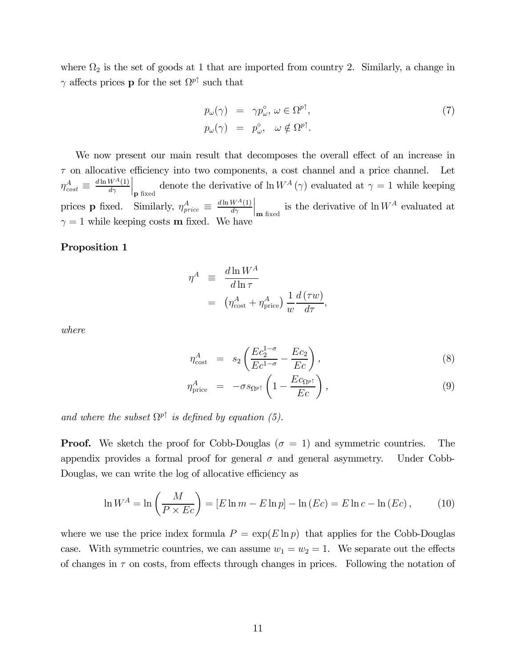where  $\Omega_2$  is the set of goods at 1 that are imported from country 2. Similarly, a change in  $\gamma$  affects prices **p** for the set  $\Omega^{p\uparrow}$  such that

$$
p_{\omega}(\gamma) = \gamma p_{\omega}^{\circ}, \ \omega \in \Omega^{p\uparrow},
$$
  
\n
$$
p_{\omega}(\gamma) = p_{\omega}^{\circ}, \ \omega \notin \Omega^{p\uparrow}.
$$
\n(7)

We now present our main result that decomposes the overall effect of an increase in  $\tau$  on allocative efficiency into two components, a cost channel and a price channel. Let  $\eta_{cost}^{A} \equiv \frac{d \ln W^{A}(1)}{d \gamma}$ denote the derivative of  $\ln W^A(\gamma)$  evaluated at  $\gamma = 1$  while keeping prices **p** fixed. Similarly,  $\eta_{price}^A \equiv \frac{d \ln W^A(1)}{d \gamma}$  $\Big|_{\mathbf{m} \text{ fixed}}$  is the derivative of  $\ln W^A$  evaluated at  $\gamma = 1$  while keeping costs **m** fixed. We have

#### Proposition 1

$$
\eta^A \equiv \frac{d \ln W^A}{d \ln \tau} \n= \left( \eta^A_{\text{cost}} + \eta^A_{\text{price}} \right) \frac{1}{w} \frac{d (\tau w)}{d \tau},
$$

where

$$
\eta_{\text{cost}}^A = s_2 \left( \frac{Ec_2^{1-\sigma}}{Ec^{1-\sigma}} - \frac{Ec_2}{Ec} \right),\tag{8}
$$

$$
\eta_{\text{price}}^A = -\sigma s_{\Omega p\uparrow} \left( 1 - \frac{Ec_{\Omega p\uparrow}}{Ec} \right), \tag{9}
$$

and where the subset  $\Omega^{p\uparrow}$  is defined by equation (5).

**Proof.** We sketch the proof for Cobb-Douglas ( $\sigma = 1$ ) and symmetric countries. The appendix provides a formal proof for general  $\sigma$  and general asymmetry. Under Cobb-Douglas, we can write the log of allocative efficiency as

$$
\ln W^A = \ln \left( \frac{M}{P \times Ec} \right) = [E \ln m - E \ln p] - \ln (Ec) = E \ln c - \ln (Ec), \tag{10}
$$

where we use the price index formula  $P = \exp(E \ln p)$  that applies for the Cobb-Douglas case. With symmetric countries, we can assume  $w_1 = w_2 = 1$ . We separate out the effects of changes in  $\tau$  on costs, from effects through changes in prices. Following the notation of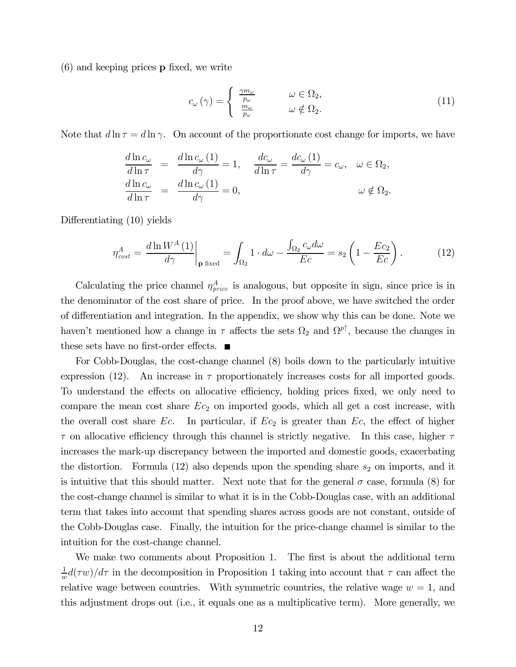(6) and keeping prices p fixed, we write

$$
c_{\omega}(\gamma) = \begin{cases} \frac{\gamma m_{\omega}}{p_{\omega}} & \omega \in \Omega_2, \\ \frac{m_{\omega}}{p_{\omega}} & \omega \notin \Omega_2. \end{cases}
$$
(11)

Note that  $d \ln \tau = d \ln \gamma$ . On account of the proportionate cost change for imports, we have

$$
\frac{d \ln c_{\omega}}{d \ln \tau} = \frac{d \ln c_{\omega} (1)}{d \gamma} = 1, \quad \frac{d c_{\omega}}{d \ln \tau} = \frac{d c_{\omega} (1)}{d \gamma} = c_{\omega}, \quad \omega \in \Omega_2,
$$
  

$$
\frac{d \ln c_{\omega}}{d \ln \tau} = \frac{d \ln c_{\omega} (1)}{d \gamma} = 0, \qquad \omega \notin \Omega_2.
$$

Differentiating (10) yields

$$
\eta_{cost}^A = \frac{d \ln W^A(1)}{d \gamma} \bigg|_{\mathbf{p} \text{ fixed}} = \int_{\Omega_2} 1 \cdot d\omega - \frac{\int_{\Omega_2} c_{\omega} d\omega}{Ec} = s_2 \left( 1 - \frac{Ec_2}{Ec} \right). \tag{12}
$$

Calculating the price channel  $\eta_{price}^A$  is analogous, but opposite in sign, since price is in the denominator of the cost share of price. In the proof above, we have switched the order of differentiation and integration. In the appendix, we show why this can be done. Note we haven't mentioned how a change in  $\tau$  affects the sets  $\Omega_2$  and  $\Omega^{p\uparrow}$ , because the changes in these sets have no first-order effects.  $\blacksquare$ 

For Cobb-Douglas, the cost-change channel (8) boils down to the particularly intuitive expression (12). An increase in  $\tau$  proportionately increases costs for all imported goods. To understand the effects on allocative efficiency, holding prices fixed, we only need to compare the mean cost share  $Ec_2$  on imported goods, which all get a cost increase, with the overall cost share  $Ec$ . In particular, if  $Ec_2$  is greater than  $Ec$ , the effect of higher  $\tau$  on allocative efficiency through this channel is strictly negative. In this case, higher  $\tau$ increases the mark-up discrepancy between the imported and domestic goods, exacerbating the distortion. Formula  $(12)$  also depends upon the spending share  $s_2$  on imports, and it is intuitive that this should matter. Next note that for the general  $\sigma$  case, formula (8) for the cost-change channel is similar to what it is in the Cobb-Douglas case, with an additional term that takes into account that spending shares across goods are not constant, outside of the Cobb-Douglas case. Finally, the intuition for the price-change channel is similar to the intuition for the cost-change channel.

We make two comments about Proposition 1. The first is about the additional term  $\frac{1}{w}d(\tau w)/d\tau$  in the decomposition in Proposition 1 taking into account that  $\tau$  can affect the relative wage between countries. With symmetric countries, the relative wage  $w = 1$ , and this adjustment drops out (i.e., it equals one as a multiplicative term). More generally, we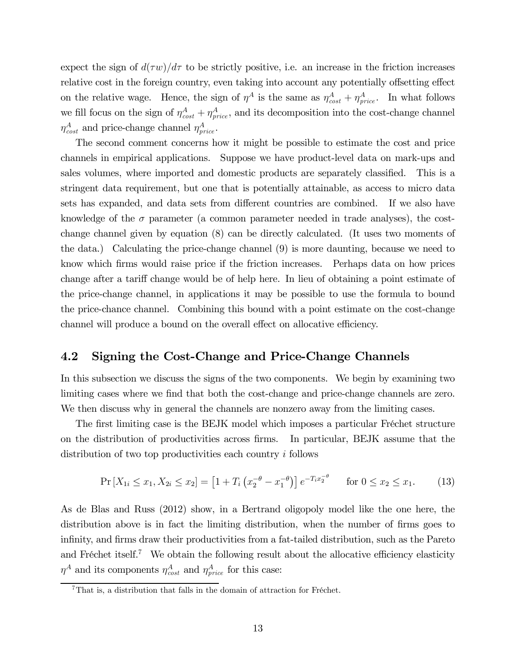expect the sign of  $d(\tau w)/d\tau$  to be strictly positive, i.e. an increase in the friction increases relative cost in the foreign country, even taking into account any potentially offsetting effect on the relative wage. Hence, the sign of  $\eta^A$  is the same as  $\eta^A_{cost} + \eta^A_{price}$ . In what follows we fill focus on the sign of  $\eta_{cost}^A + \eta_{price}^A$ , and its decomposition into the cost-change channel  $\eta_{cost}^{A}$  and price-change channel  $\eta_{price}^{A}$ .

The second comment concerns how it might be possible to estimate the cost and price channels in empirical applications. Suppose we have product-level data on mark-ups and sales volumes, where imported and domestic products are separately classified. This is a stringent data requirement, but one that is potentially attainable, as access to micro data sets has expanded, and data sets from different countries are combined. If we also have knowledge of the  $\sigma$  parameter (a common parameter needed in trade analyses), the costchange channel given by equation (8) can be directly calculated. (It uses two moments of the data.) Calculating the price-change channel (9) is more daunting, because we need to know which firms would raise price if the friction increases. Perhaps data on how prices change after a tariff change would be of help here. In lieu of obtaining a point estimate of the price-change channel, in applications it may be possible to use the formula to bound the price-chance channel. Combining this bound with a point estimate on the cost-change channel will produce a bound on the overall effect on allocative efficiency.

#### 4.2 Signing the Cost-Change and Price-Change Channels

In this subsection we discuss the signs of the two components. We begin by examining two limiting cases where we find that both the cost-change and price-change channels are zero. We then discuss why in general the channels are nonzero away from the limiting cases.

The first limiting case is the BEJK model which imposes a particular Fréchet structure on the distribution of productivities across firms. In particular, BEJK assume that the distribution of two top productivities each country  $i$  follows

$$
\Pr\left[X_{1i} \le x_1, X_{2i} \le x_2\right] = \left[1 + T_i \left(x_2^{-\theta} - x_1^{-\theta}\right)\right] e^{-T_i x_2^{-\theta}} \quad \text{for } 0 \le x_2 \le x_1. \tag{13}
$$

As de Blas and Russ (2012) show, in a Bertrand oligopoly model like the one here, the distribution above is in fact the limiting distribution, when the number of firms goes to infinity, and firms draw their productivities from a fat-tailed distribution, such as the Pareto and Fréchet itself.<sup>7</sup> We obtain the following result about the allocative efficiency elasticity  $\eta^A$  and its components  $\eta^A_{cost}$  and  $\eta^A_{price}$  for this case:

 $7$ That is, a distribution that falls in the domain of attraction for Fréchet.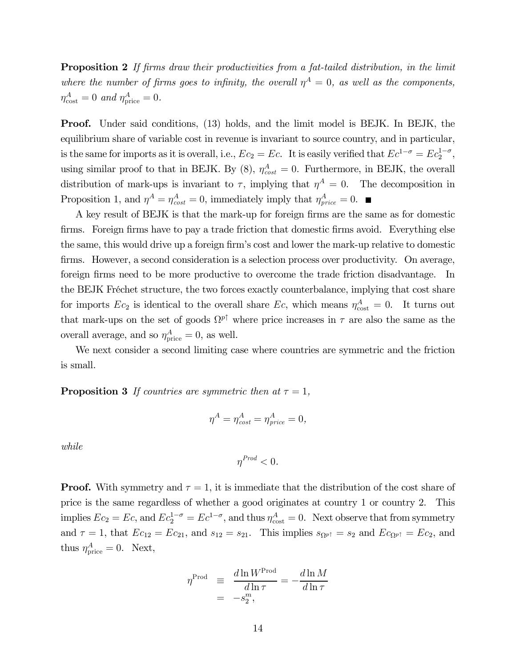**Proposition 2** If firms draw their productivities from a fat-tailed distribution, in the limit where the number of firms goes to infinity, the overall  $\eta^A = 0$ , as well as the components,  $\eta^A_{\rm cost}=0$  and  $\eta^A_{\rm price}=0$ .

Proof. Under said conditions, (13) holds, and the limit model is BEJK. In BEJK, the equilibrium share of variable cost in revenue is invariant to source country, and in particular, is the same for imports as it is overall, i.e.,  $Ec_2 = Ec$ . It is easily verified that  $Ec^{1-\sigma} = Ec_2^{1-\sigma}$ , using similar proof to that in BEJK. By  $(8)$ ,  $\eta_{cost}^A = 0$ . Furthermore, in BEJK, the overall distribution of mark-ups is invariant to  $\tau$ , implying that  $\eta^A = 0$ . The decomposition in Proposition 1, and  $\eta^A = \eta^A_{cost} = 0$ , immediately imply that  $\eta^A_{price} = 0$ .

A key result of BEJK is that the mark-up for foreign firms are the same as for domestic firms. Foreign firms have to pay a trade friction that domestic firms avoid. Everything else the same, this would drive up a foreign firm's cost and lower the mark-up relative to domestic firms. However, a second consideration is a selection process over productivity. On average, foreign firms need to be more productive to overcome the trade friction disadvantage. In the BEJK Fréchet structure, the two forces exactly counterbalance, implying that cost share for imports  $Ec_2$  is identical to the overall share  $Ec$ , which means  $\eta_{\text{cost}}^A = 0$ . It turns out that mark-ups on the set of goods  $\Omega^{p\uparrow}$  where price increases in  $\tau$  are also the same as the overall average, and so  $\eta_{\text{price}}^A = 0$ , as well.

We next consider a second limiting case where countries are symmetric and the friction is small.

**Proposition 3** If countries are symmetric then at  $\tau = 1$ ,

$$
\eta^A = \eta^A_{cost} = \eta^A_{price} = 0,
$$

while

$$
\eta^{Prod} < 0.
$$

**Proof.** With symmetry and  $\tau = 1$ , it is immediate that the distribution of the cost share of price is the same regardless of whether a good originates at country 1 or country 2. This implies  $Ec_2 = Ec$ , and  $Ec_2^{1-\sigma} = Ec^{1-\sigma}$ , and thus  $\eta_{\text{cost}}^A = 0$ . Next observe that from symmetry and  $\tau = 1$ , that  $Ec_{12} = Ec_{21}$ , and  $s_{12} = s_{21}$ . This implies  $s_{\Omega^{p\uparrow}} = s_2$  and  $Ec_{\Omega^{p\uparrow}} = Ec_2$ , and thus  $\eta_{\text{price}}^A = 0$ . Next,

$$
\eta^{\text{Prod}} \equiv \frac{d \ln W^{\text{Prod}}}{d \ln \tau} = -\frac{d \ln M}{d \ln \tau}
$$

$$
= -s_2^m,
$$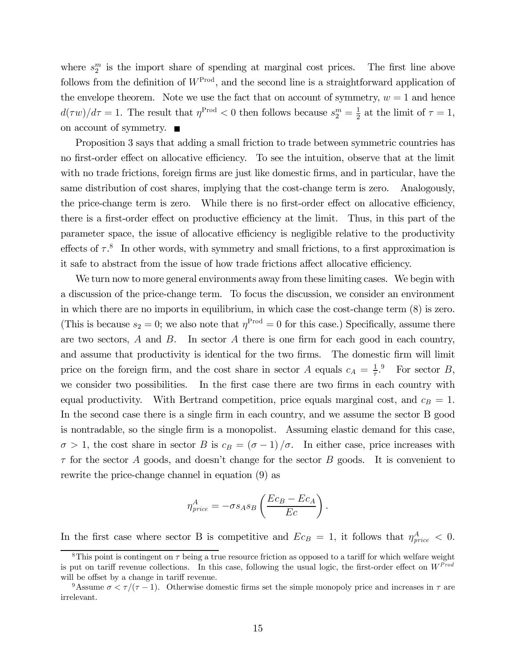where  $s_2^m$  is the import share of spending at marginal cost prices. The first line above follows from the definition of  $W^{\text{Prod}}$ , and the second line is a straightforward application of the envelope theorem. Note we use the fact that on account of symmetry,  $w = 1$  and hence  $d(\tau w)/d\tau = 1$ . The result that  $\eta^{\text{Prod}} < 0$  then follows because  $s_2^m = \frac{1}{2}$  at the limit of  $\tau = 1$ , on account of symmetry.  $\blacksquare$ 

Proposition 3 says that adding a small friction to trade between symmetric countries has no first-order effect on allocative efficiency. To see the intuition, observe that at the limit with no trade frictions, foreign firms are just like domestic firms, and in particular, have the same distribution of cost shares, implying that the cost-change term is zero. Analogously, the price-change term is zero. While there is no first-order effect on allocative efficiency, there is a first-order effect on productive efficiency at the limit. Thus, in this part of the parameter space, the issue of allocative efficiency is negligible relative to the productivity effects of  $\tau$ <sup>8</sup>. In other words, with symmetry and small frictions, to a first approximation is it safe to abstract from the issue of how trade frictions affect allocative efficiency.

We turn now to more general environments away from these limiting cases. We begin with a discussion of the price-change term. To focus the discussion, we consider an environment in which there are no imports in equilibrium, in which case the cost-change term (8) is zero. (This is because  $s_2 = 0$ ; we also note that  $\eta^{\text{Prod}} = 0$  for this case.) Specifically, assume there are two sectors,  $A$  and  $B$ . In sector  $A$  there is one firm for each good in each country, and assume that productivity is identical for the two firms. The domestic firm will limit price on the foreign firm, and the cost share in sector A equals  $c_A = \frac{1}{\tau}$ . For sector B, we consider two possibilities. In the first case there are two firms in each country with equal productivity. With Bertrand competition, price equals marginal cost, and  $c_B = 1$ . In the second case there is a single firm in each country, and we assume the sector B good is nontradable, so the single firm is a monopolist. Assuming elastic demand for this case,  $\sigma > 1$ , the cost share in sector B is  $c_B = (\sigma - 1)/\sigma$ . In either case, price increases with  $\tau$  for the sector A goods, and doesn't change for the sector B goods. It is convenient to rewrite the price-change channel in equation (9) as

$$
\eta_{price}^A = -\sigma s_A s_B \left(\frac{Ec_B - Ec_A}{Ec}\right).
$$

In the first case where sector B is competitive and  $Ec_B = 1$ , it follows that  $\eta_{price}^A < 0$ .

<sup>&</sup>lt;sup>8</sup>This point is contingent on  $\tau$  being a true resource friction as opposed to a tariff for which welfare weight is put on tariff revenue collections. In this case, following the usual logic, the first-order effect on  $W^{Prod}$ will be offset by a change in tariff revenue.

<sup>&</sup>lt;sup>9</sup>Assume  $\sigma < \tau/(\tau - 1)$ . Otherwise domestic firms set the simple monopoly price and increases in  $\tau$  are irrelevant.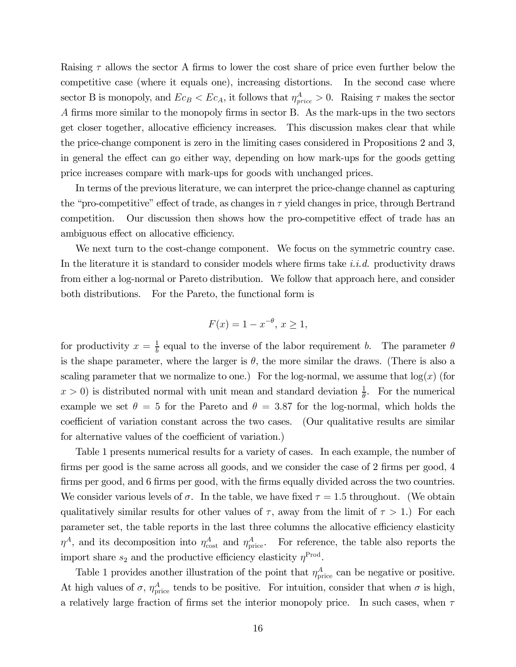Raising  $\tau$  allows the sector A firms to lower the cost share of price even further below the competitive case (where it equals one), increasing distortions. In the second case where sector B is monopoly, and  $Ec_B < Ec_A$ , it follows that  $\eta_{price}^A > 0$ . Raising  $\tau$  makes the sector firms more similar to the monopoly firms in sector B. As the mark-ups in the two sectors get closer together, allocative efficiency increases. This discussion makes clear that while the price-change component is zero in the limiting cases considered in Propositions 2 and 3, in general the effect can go either way, depending on how mark-ups for the goods getting price increases compare with mark-ups for goods with unchanged prices.

In terms of the previous literature, we can interpret the price-change channel as capturing the "pro-competitive" effect of trade, as changes in  $\tau$  yield changes in price, through Bertrand competition. Our discussion then shows how the pro-competitive effect of trade has an ambiguous effect on allocative efficiency.

We next turn to the cost-change component. We focus on the symmetric country case. In the literature it is standard to consider models where firms take i.i.d. productivity draws from either a log-normal or Pareto distribution. We follow that approach here, and consider both distributions. For the Pareto, the functional form is

$$
F(x) = 1 - x^{-\theta}, \, x \ge 1,
$$

for productivity  $x = \frac{1}{b}$  equal to the inverse of the labor requirement b. The parameter  $\theta$ is the shape parameter, where the larger is  $\theta$ , the more similar the draws. (There is also a scaling parameter that we normalize to one.) For the log-normal, we assume that  $log(x)$  (for  $x > 0$ ) is distributed normal with unit mean and standard deviation  $\frac{1}{\theta}$ . For the numerical example we set  $\theta = 5$  for the Pareto and  $\theta = 3.87$  for the log-normal, which holds the coefficient of variation constant across the two cases. (Our qualitative results are similar for alternative values of the coefficient of variation.)

Table 1 presents numerical results for a variety of cases. In each example, the number of firms per good is the same across all goods, and we consider the case of 2 firms per good, 4 firms per good, and 6 firms per good, with the firms equally divided across the two countries. We consider various levels of  $\sigma$ . In the table, we have fixed  $\tau = 1.5$  throughout. (We obtain qualitatively similar results for other values of  $\tau$ , away from the limit of  $\tau > 1$ .) For each parameter set, the table reports in the last three columns the allocative efficiency elasticity  $\eta^A$ , and its decomposition into  $\eta^A_{\text{cost}}$  and  $\eta^A_{\text{price}}$ . For reference, the table also reports the import share  $s_2$  and the productive efficiency elasticity  $\eta^{\text{Prod}}$ .

Table 1 provides another illustration of the point that  $\eta_{\text{price}}^A$  can be negative or positive. At high values of  $\sigma$ ,  $\eta_{\text{price}}^A$  tends to be positive. For intuition, consider that when  $\sigma$  is high, a relatively large fraction of firms set the interior monopoly price. In such cases, when  $\tau$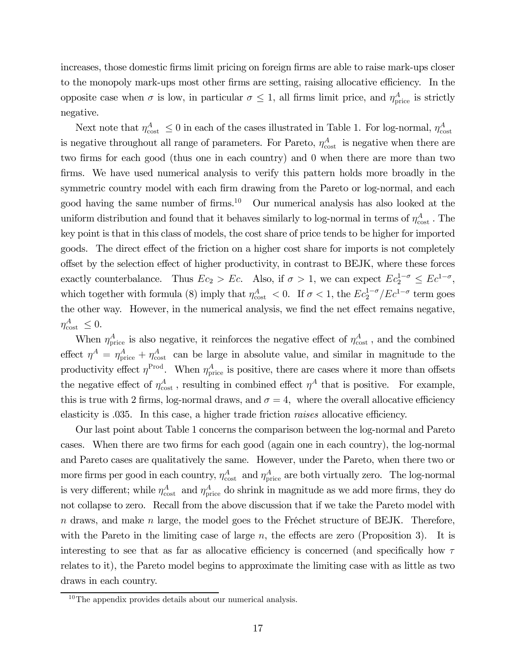increases, those domestic firms limit pricing on foreign firms are able to raise mark-ups closer to the monopoly mark-ups most other firms are setting, raising allocative efficiency. In the opposite case when  $\sigma$  is low, in particular  $\sigma \leq 1$ , all firms limit price, and  $\eta_{\text{price}}^A$  is strictly negative.

Next note that  $\eta_{\text{cost}}^A \leq 0$  in each of the cases illustrated in Table 1. For log-normal,  $\eta_{\text{cost}}^A$ is negative throughout all range of parameters. For Pareto,  $\eta_{\text{cost}}^A$  is negative when there are two firms for each good (thus one in each country) and 0 when there are more than two firms. We have used numerical analysis to verify this pattern holds more broadly in the symmetric country model with each firm drawing from the Pareto or log-normal, and each good having the same number of firms.10 Our numerical analysis has also looked at the uniform distribution and found that it behaves similarly to log-normal in terms of  $\eta_{\text{cost}}^A$ . The key point is that in this class of models, the cost share of price tends to be higher for imported goods. The direct effect of the friction on a higher cost share for imports is not completely offset by the selection effect of higher productivity, in contrast to BEJK, where these forces exactly counterbalance. Thus  $Ec_2 > Ec$ . Also, if  $\sigma > 1$ , we can expect  $Ec_2^{1-\sigma} \le Ec^{1-\sigma}$ , which together with formula (8) imply that  $\eta_{\text{cost}}^A < 0$ . If  $\sigma < 1$ , the  $Ec_2^{1-\sigma}/Ec^{1-\sigma}$  term goes the other way. However, in the numerical analysis, we find the net effect remains negative,  $\eta^A_{\text{cost}} \leq 0.$ 

When  $\eta_{\text{price}}^A$  is also negative, it reinforces the negative effect of  $\eta_{\text{cost}}^A$ , and the combined effect  $\eta^A = \eta_{\text{price}}^A + \eta_{\text{cost}}^A$  can be large in absolute value, and similar in magnitude to the productivity effect  $\eta^{\text{Prod}}$ . When  $\eta_{\text{price}}^A$  is positive, there are cases where it more than offsets the negative effect of  $\eta_{\text{cost}}^A$ , resulting in combined effect  $\eta^A$  that is positive. For example, this is true with 2 firms, log-normal draws, and  $\sigma = 4$ , where the overall allocative efficiency elasticity is .035. In this case, a higher trade friction raises allocative efficiency.

Our last point about Table 1 concerns the comparison between the log-normal and Pareto cases. When there are two firms for each good (again one in each country), the log-normal and Pareto cases are qualitatively the same. However, under the Pareto, when there two or more firms per good in each country,  $\eta_{\text{cost}}^A$  and  $\eta_{\text{price}}^A$  are both virtually zero. The log-normal is very different; while  $\eta_{\text{cost}}^A$  and  $\eta_{\text{price}}^A$  do shrink in magnitude as we add more firms, they do not collapse to zero. Recall from the above discussion that if we take the Pareto model with  $n$  draws, and make  $n$  large, the model goes to the Fréchet structure of BEJK. Therefore, with the Pareto in the limiting case of large  $n$ , the effects are zero (Proposition 3). It is interesting to see that as far as allocative efficiency is concerned (and specifically how  $\tau$ relates to it), the Pareto model begins to approximate the limiting case with as little as two draws in each country.

 $10$ The appendix provides details about our numerical analysis.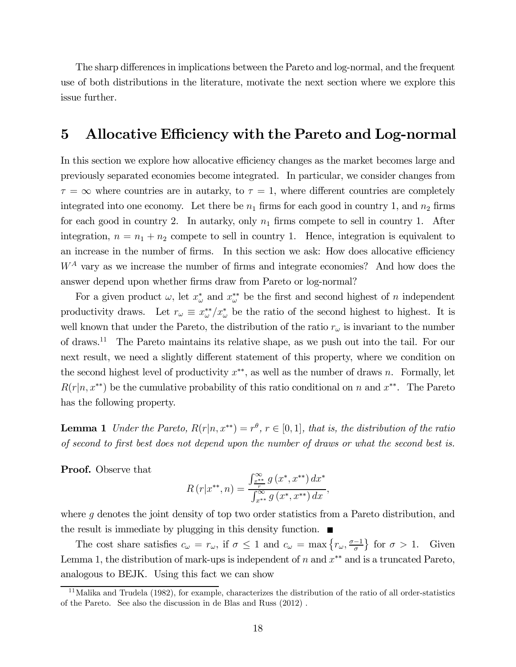The sharp differences in implications between the Pareto and log-normal, and the frequent use of both distributions in the literature, motivate the next section where we explore this issue further.

## 5 Allocative Efficiency with the Pareto and Log-normal

In this section we explore how allocative efficiency changes as the market becomes large and previously separated economies become integrated. In particular, we consider changes from  $\tau = \infty$  where countries are in autarky, to  $\tau = 1$ , where different countries are completely integrated into one economy. Let there be  $n_1$  firms for each good in country 1, and  $n_2$  firms for each good in country 2. In autarky, only  $n_1$  firms compete to sell in country 1. After integration,  $n = n_1 + n_2$  compete to sell in country 1. Hence, integration is equivalent to an increase in the number of firms. In this section we ask: How does allocative efficiency  $W^A$  vary as we increase the number of firms and integrate economies? And how does the answer depend upon whether firms draw from Pareto or log-normal?

For a given product  $\omega$ , let  $x^*_{\omega}$  and  $x^{**}_{\omega}$  be the first and second highest of n independent productivity draws. Let  $r_{\omega} \equiv x_{\omega}^{**}/x_{\omega}^*$  be the ratio of the second highest to highest. It is well known that under the Pareto, the distribution of the ratio  $r_{\omega}$  is invariant to the number of draws.11 The Pareto maintains its relative shape, as we push out into the tail. For our next result, we need a slightly different statement of this property, where we condition on the second highest level of productivity  $x^{**}$ , as well as the number of draws n. Formally, let  $R(r|n, x^{**})$  be the cumulative probability of this ratio conditional on n and  $x^{**}$ . The Pareto has the following property.

**Lemma 1** Under the Pareto,  $R(r|n, x^{**}) = r^{\theta}$ ,  $r \in [0, 1]$ , that is, the distribution of the ratio of second to first best does not depend upon the number of draws or what the second best is.

Proof. Observe that

$$
R(r|x^{**}, n) = \frac{\int_{\frac{x^{**}}{r}}^{\infty} g(x^*, x^{**}) dx^*}{\int_{x^{**}}^{\infty} g(x^*, x^{**}) dx},
$$

where  $g$  denotes the joint density of top two order statistics from a Pareto distribution, and the result is immediate by plugging in this density function.  $\blacksquare$ 

The cost share satisfies  $c_{\omega} = r_{\omega}$ , if  $\sigma \leq 1$  and  $c_{\omega} = \max\left\{r_{\omega}, \frac{\sigma - 1}{\sigma}\right\}$  for  $\sigma > 1$ . Given Lemma 1, the distribution of mark-ups is independent of  $n$  and  $x^{**}$  and is a truncated Pareto, analogous to BEJK. Using this fact we can show

 $11$ Malika and Trudela (1982), for example, characterizes the distribution of the ratio of all order-statistics of the Pareto. See also the discussion in de Blas and Russ (2012) .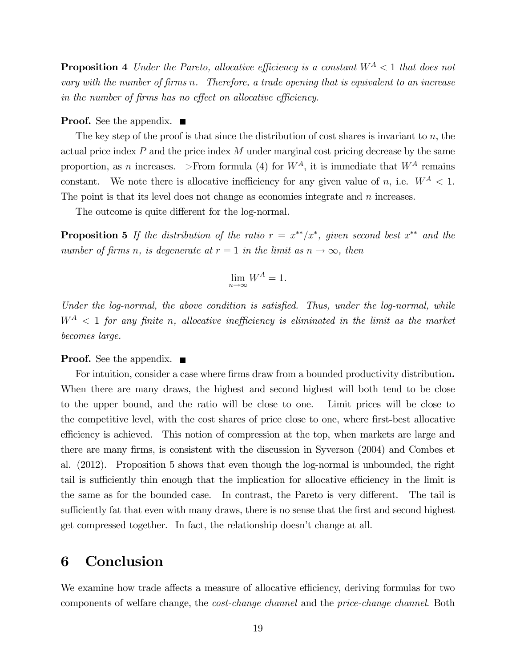**Proposition 4** Under the Pareto, allocative efficiency is a constant  $W^A < 1$  that does not vary with the number of firms  $n$ . Therefore, a trade opening that is equivalent to an increase in the number of firms has no effect on allocative efficiency.

#### **Proof.** See the appendix.  $\blacksquare$

The key step of the proof is that since the distribution of cost shares is invariant to  $n$ , the actual price index  $P$  and the price index  $M$  under marginal cost pricing decrease by the same proportion, as *n* increases. >From formula (4) for  $W^A$ , it is immediate that  $W^A$  remains constant. We note there is allocative inefficiency for any given value of n, i.e.  $W^A < 1$ . The point is that its level does not change as economies integrate and  $n$  increases.

The outcome is quite different for the log-normal.

**Proposition 5** If the distribution of the ratio  $r = x^{**}/x^*$ , given second best  $x^{**}$  and the number of firms n, is degenerate at  $r = 1$  in the limit as  $n \to \infty$ , then

$$
\lim_{n \to \infty} W^A = 1.
$$

Under the log-normal, the above condition is satisfied. Thus, under the log-normal, while  $W^A$  < 1 for any finite n, allocative inefficiency is eliminated in the limit as the market becomes large.

#### **Proof.** See the appendix.  $\blacksquare$

For intuition, consider a case where firms draw from a bounded productivity distribution. When there are many draws, the highest and second highest will both tend to be close to the upper bound, and the ratio will be close to one. Limit prices will be close to the competitive level, with the cost shares of price close to one, where first-best allocative efficiency is achieved. This notion of compression at the top, when markets are large and there are many firms, is consistent with the discussion in Syverson (2004) and Combes et al. (2012). Proposition 5 shows that even though the log-normal is unbounded, the right tail is sufficiently thin enough that the implication for allocative efficiency in the limit is the same as for the bounded case. In contrast, the Pareto is very different. The tail is sufficiently fat that even with many draws, there is no sense that the first and second highest get compressed together. In fact, the relationship doesn't change at all.

# 6 Conclusion

We examine how trade affects a measure of allocative efficiency, deriving formulas for two components of welfare change, the cost-change channel and the price-change channel. Both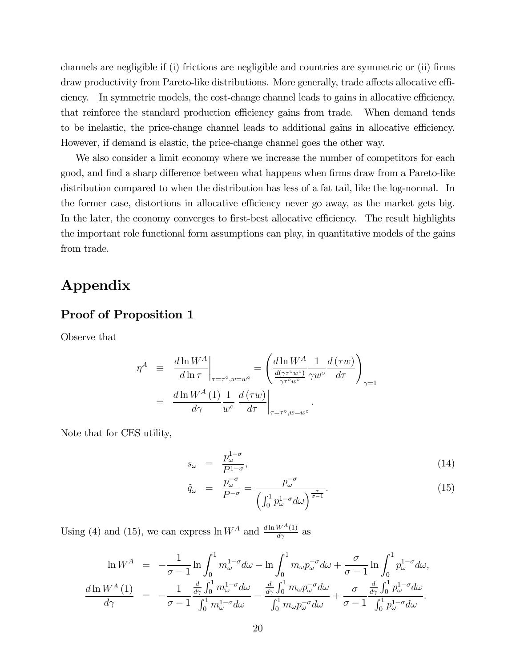channels are negligible if (i) frictions are negligible and countries are symmetric or (ii) firms draw productivity from Pareto-like distributions. More generally, trade affects allocative efficiency. In symmetric models, the cost-change channel leads to gains in allocative efficiency, that reinforce the standard production efficiency gains from trade. When demand tends to be inelastic, the price-change channel leads to additional gains in allocative efficiency. However, if demand is elastic, the price-change channel goes the other way.

We also consider a limit economy where we increase the number of competitors for each good, and find a sharp difference between what happens when firms draw from a Pareto-like distribution compared to when the distribution has less of a fat tail, like the log-normal. In the former case, distortions in allocative efficiency never go away, as the market gets big. In the later, the economy converges to first-best allocative efficiency. The result highlights the important role functional form assumptions can play, in quantitative models of the gains from trade.

# Appendix

#### Proof of Proposition 1

Observe that

$$
\eta^{A} \equiv \frac{d \ln W^{A}}{d \ln \tau}\Big|_{\tau = \tau^{\circ}, w = w^{\circ}} = \left(\frac{d \ln W^{A}}{\frac{d(\gamma \tau^{\circ} w^{\circ})}{\gamma \tau^{\circ} w^{\circ}}}\frac{1}{\gamma w^{\circ}}\frac{d(\tau w)}{d\tau}\right)_{\gamma = 1}
$$

$$
= \frac{d \ln W^{A}(1)}{d\gamma}\frac{1}{w^{\circ}}\frac{d(\tau w)}{d\tau}\Big|_{\tau = \tau^{\circ}, w = w^{\circ}}.
$$

Note that for CES utility,

$$
s_{\omega} = \frac{p_{\omega}^{1-\sigma}}{P^{1-\sigma}},\tag{14}
$$

$$
\tilde{q}_{\omega} = \frac{p_{\omega}^{-\sigma}}{P^{-\sigma}} = \frac{p_{\omega}^{-\sigma}}{\left(\int_0^1 p_{\omega}^{1-\sigma} d\omega\right)^{\frac{\sigma}{\sigma-1}}}.
$$
\n(15)

Using (4) and (15), we can express  $\ln W^A$  and  $\frac{d \ln W^A(1)}{d \gamma}$  as

$$
\ln W^{A} = -\frac{1}{\sigma - 1} \ln \int_{0}^{1} m_{\omega}^{1 - \sigma} d\omega - \ln \int_{0}^{1} m_{\omega} p_{\omega}^{-\sigma} d\omega + \frac{\sigma}{\sigma - 1} \ln \int_{0}^{1} p_{\omega}^{1 - \sigma} d\omega,
$$
  

$$
\frac{d \ln W^{A}(1)}{d\gamma} = -\frac{1}{\sigma - 1} \frac{\frac{d}{d\gamma} \int_{0}^{1} m_{\omega}^{1 - \sigma} d\omega}{\int_{0}^{1} m_{\omega} p_{\omega}^{-\sigma} d\omega} - \frac{\frac{d}{d\gamma} \int_{0}^{1} m_{\omega} p_{\omega}^{-\sigma} d\omega}{\int_{0}^{1} m_{\omega} p_{\omega}^{-\sigma} d\omega} + \frac{\sigma}{\sigma - 1} \frac{\frac{d}{d\gamma} \int_{0}^{1} p_{\omega}^{1 - \sigma} d\omega}{\int_{0}^{1} p_{\omega}^{1 - \sigma} d\omega}.
$$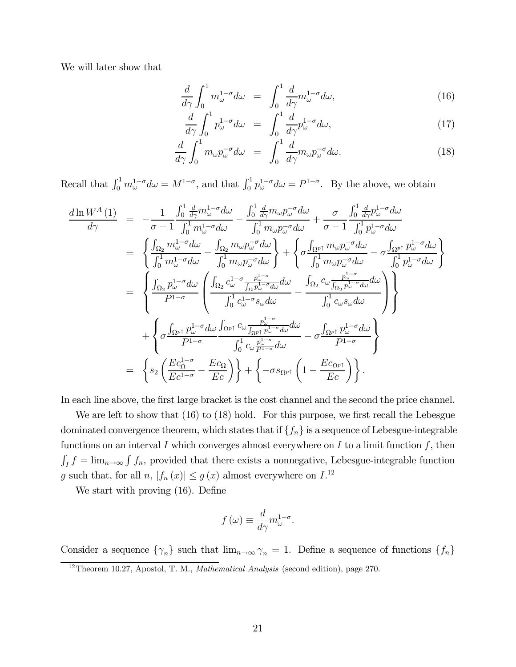We will later show that

$$
\frac{d}{d\gamma} \int_0^1 m_{\omega}^{1-\sigma} d\omega = \int_0^1 \frac{d}{d\gamma} m_{\omega}^{1-\sigma} d\omega, \tag{16}
$$

$$
\frac{d}{d\gamma} \int_0^1 p_{\omega}^{1-\sigma} d\omega = \int_0^1 \frac{d}{d\gamma} p_{\omega}^{1-\sigma} d\omega, \qquad (17)
$$

$$
\frac{d}{d\gamma} \int_0^1 m_\omega p_\omega^{-\sigma} d\omega = \int_0^1 \frac{d}{d\gamma} m_\omega p_\omega^{-\sigma} d\omega.
$$
 (18)

Recall that  $\int_0^1 m_{\omega}^{1-\sigma} d\omega = M^{1-\sigma}$ , and that  $\int_0^1 p_{\omega}^{1-\sigma} d\omega = P^{1-\sigma}$ . By the above, we obtain

$$
\begin{split}\n\frac{d\ln W^{A}(1)}{d\gamma} &= -\frac{1}{\sigma - 1} \frac{\int_{0}^{1} \frac{d}{d\gamma} m_{\omega}^{1-\sigma} d\omega}{\int_{0}^{1} m_{\omega} \rho_{\omega}^{-\sigma} d\omega} - \frac{\int_{0}^{1} \frac{d}{d\gamma} m_{\omega} p_{\omega}^{-\sigma} d\omega}{\int_{0}^{1} m_{\omega} p_{\omega}^{-\sigma} d\omega} + \frac{\sigma}{\sigma - 1} \frac{\int_{0}^{1} \frac{d}{d\gamma} p_{\omega}^{1-\sigma} d\omega}{\int_{0}^{1} p_{\omega}^{1-\sigma} d\omega} \\
&= \left\{ \frac{\int_{\Omega_{2}} m_{\omega}^{1-\sigma} d\omega}{\int_{0}^{1} m_{\omega} \rho_{\omega}^{-\sigma} d\omega} - \frac{\int_{\Omega_{2}} m_{\omega} p_{\omega}^{-\sigma} d\omega}{\int_{0}^{1} m_{\omega} p_{\omega}^{-\sigma} d\omega} - \frac{\int_{\Omega_{P}^{1}} n_{\omega} p_{\omega}^{-\sigma} d\omega}{\int_{0}^{1} p_{\omega}^{1-\sigma} d\omega} \right\} \\
&= \left\{ \frac{\int_{\Omega_{2}} p_{\omega}^{1-\sigma} d\omega}{P^{1-\sigma}} \left( \frac{\int_{\Omega_{2}} c_{\omega}^{1-\sigma} \frac{p_{\omega}^{1-\sigma}}{\int_{\Omega} p_{\omega}^{1-\sigma} d\omega} d\omega}{\int_{0}^{1} c_{\omega} p_{\omega} p_{\omega}^{-\sigma} d\omega} - \frac{\int_{\Omega_{2}} c_{\omega} \frac{p_{\omega}^{1-\sigma}}{\int_{\Omega_{2}} p_{\omega}^{1-\sigma} d\omega}}{\int_{0}^{1} c_{\omega} s_{\omega} d\omega} \right) \right\} \\
&+ \left\{ \sigma \frac{\int_{\Omega_{P}^{1}} p_{\omega}^{1-\sigma} d\omega}{P^{1-\sigma}} \frac{\int_{\Omega_{P}^{1}} r_{\omega}^{1-\sigma} d\omega}{\int_{0}^{1} c_{\omega} \frac{p_{\omega}^{1-\sigma}}{p^{1-\sigma}} d\omega} - \sigma \frac{\int_{\Omega_{P}^{1}} p_{\omega}^{1-\sigma} d\omega}{P^{1-\sigma}} \right\} \\
&
$$

In each line above, the first large bracket is the cost channel and the second the price channel.

We are left to show that (16) to (18) hold. For this purpose, we first recall the Lebesgue dominated convergence theorem, which states that if  $\{f_n\}$  is a sequence of Lebesgue-integrable functions on an interval  $I$  which converges almost everywhere on  $I$  to a limit function  $f$ , then  $\int_I f = \lim_{n \to \infty} \int f_n$ , provided that there exists a nonnegative, Lebesgue-integrable function g such that, for all  $n, |f_n(x)| \le g(x)$  almost everywhere on  $I^{12}$ .

We start with proving (16). Define

$$
f(\omega) \equiv \frac{d}{d\gamma} m_{\omega}^{1-\sigma}.
$$

Consider a sequence  $\{\gamma_n\}$  such that  $\lim_{n\to\infty}\gamma_n=1$ . Define a sequence of functions  $\{f_n\}$ 

 $12$ Theorem 10.27, Apostol, T. M., *Mathematical Analysis* (second edition), page 270.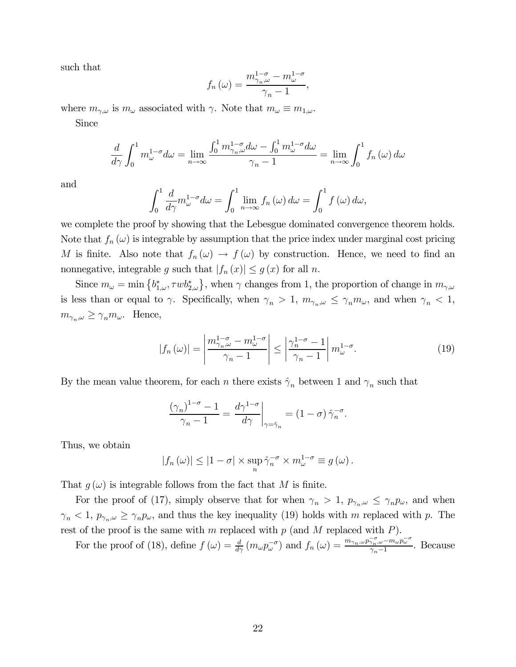such that

$$
f_n(\omega) = \frac{m_{\gamma_n,\omega}^{1-\sigma} - m_{\omega}^{1-\sigma}}{\gamma_n - 1},
$$

where  $m_{\gamma,\omega}$  is  $m_{\omega}$  associated with  $\gamma$ . Note that  $m_{\omega} \equiv m_{1,\omega}$ . Since

$$
\frac{d}{d\gamma} \int_0^1 m_{\omega}^{1-\sigma} d\omega = \lim_{n \to \infty} \frac{\int_0^1 m_{\gamma_n,\omega}^{1-\sigma} d\omega - \int_0^1 m_{\omega}^{1-\sigma} d\omega}{\gamma_n - 1} = \lim_{n \to \infty} \int_0^1 f_n(\omega) d\omega
$$

and

$$
\int_0^1 \frac{d}{d\gamma} m_{\omega}^{1-\sigma} d\omega = \int_0^1 \lim_{n \to \infty} f_n(\omega) d\omega = \int_0^1 f(\omega) d\omega,
$$

we complete the proof by showing that the Lebesgue dominated convergence theorem holds. Note that  $f_n(\omega)$  is integrable by assumption that the price index under marginal cost pricing M is finite. Also note that  $f_n(\omega) \to f(\omega)$  by construction. Hence, we need to find an nonnegative, integrable g such that  $|f_n(x)| \le g(x)$  for all n.

Since  $m_{\omega} = \min \left\{ b^*_{1,\omega}, \tau w b^*_{2,\omega} \right\}$ , when  $\gamma$  changes from 1, the proportion of change in  $m_{\gamma,\omega}$ is less than or equal to  $\gamma$ . Specifically, when  $\gamma_n > 1$ ,  $m_{\gamma_n,\omega} \leq \gamma_n m_\omega$ , and when  $\gamma_n < 1$ ,  $m_{\gamma_n,\omega} \geq \gamma_n m_\omega$ . Hence,

$$
|f_n(\omega)| = \left| \frac{m_{\gamma_n,\omega}^{1-\sigma} - m_{\omega}^{1-\sigma}}{\gamma_n - 1} \right| \le \left| \frac{\gamma_n^{1-\sigma} - 1}{\gamma_n - 1} \right| m_{\omega}^{1-\sigma}.
$$
 (19)

By the mean value theorem, for each *n* there exists  $\hat{\gamma}_n$  between 1 and  $\gamma_n$  such that

$$
\frac{\left(\gamma_n\right)^{1-\sigma}-1}{\gamma_n-1} = \left. \frac{d\gamma^{1-\sigma}}{d\gamma} \right|_{\gamma=\hat{\gamma}_n} = \left(1-\sigma\right) \hat{\gamma}_n^{-\sigma}.
$$

Thus, we obtain

$$
|f_n(\omega)| \leq |1 - \sigma| \times \sup_n \hat{\gamma}_n^{-\sigma} \times m_{\omega}^{1-\sigma} \equiv g(\omega).
$$

That  $q(\omega)$  is integrable follows from the fact that M is finite.

For the proof of (17), simply observe that for when  $\gamma_n > 1$ ,  $p_{\gamma_n,\omega} \leq \gamma_n p_\omega$ , and when  $\gamma_n < 1$ ,  $p_{\gamma_n,\omega} \geq \gamma_n p_\omega$ , and thus the key inequality (19) holds with *m* replaced with *p*. The rest of the proof is the same with  $m$  replaced with  $p$  (and  $M$  replaced with  $P$ ).

For the proof of (18), define  $f(\omega) = \frac{d}{d\gamma} (m_{\omega} p_{\omega}^{-\sigma})$  and  $f_n(\omega) = \frac{m_{\gamma_n,\omega} p_{\gamma_n,\omega}^{-\sigma} - m_{\omega} p_{\omega}^{-\sigma}}{\gamma_n - 1}$ . Because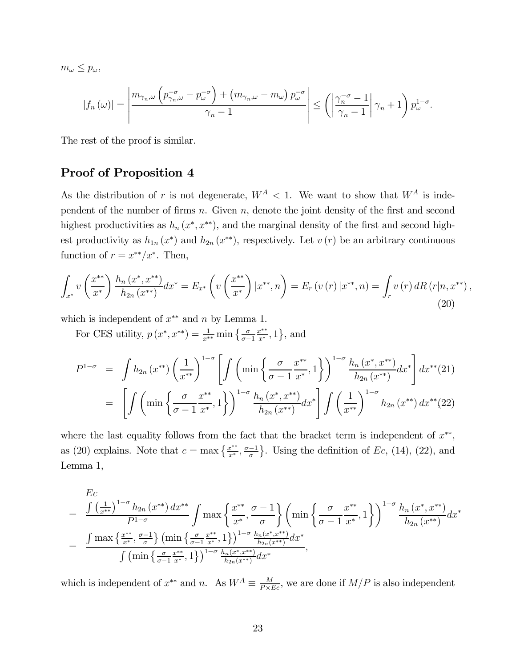$m_{\omega} \leq p_{\omega},$ 

$$
|f_n(\omega)| = \left| \frac{m_{\gamma_n,\omega} \left( p_{\gamma_n,\omega}^{-\sigma} - p_{\omega}^{-\sigma} \right) + \left( m_{\gamma_n,\omega} - m_{\omega} \right) p_{\omega}^{-\sigma}}{\gamma_n - 1} \right| \le \left( \left| \frac{\gamma_n^{-\sigma} - 1}{\gamma_n - 1} \right| \gamma_n + 1 \right) p_{\omega}^{1 - \sigma}.
$$

The rest of the proof is similar.

### Proof of Proposition 4

As the distribution of r is not degenerate,  $W^A$  < 1. We want to show that  $W^A$  is independent of the number of firms  $n$ . Given  $n$ , denote the joint density of the first and second highest productivities as  $h_n(x^*, x^{**})$ , and the marginal density of the first and second highest productivity as  $h_{1n}(x^*)$  and  $h_{2n}(x^{**})$ , respectively. Let  $v(r)$  be an arbitrary continuous function of  $r = x^{**}/x^*$ . Then,

$$
\int_{x^*} v\left(\frac{x^{**}}{x^*}\right) \frac{h_n\left(x^*, x^{**}\right)}{h_{2n}\left(x^{**}\right)} dx^* = E_{x^*} \left(v\left(\frac{x^{**}}{x^*}\right) \big| x^{**}, n\right) = E_r \left(v\left(r\right) \big| x^{**}, n\right) = \int_r v\left(r\right) dR \left(r \big| n, x^{**}\right), \tag{20}
$$

which is independent of  $x^{**}$  and n by Lemma 1.

For CES utility,  $p(x^*, x^{**}) = \frac{1}{x^{**}} \min \left\{ \frac{\sigma}{\sigma - 1} \right\}$  $\frac{x^{**}}{x^*}, 1$ , and

$$
P^{1-\sigma} = \int h_{2n}(x^{**}) \left(\frac{1}{x^{**}}\right)^{1-\sigma} \left[ \int \left( \min\left\{\frac{\sigma}{\sigma-1} \frac{x^{**}}{x^*}, 1\right\} \right)^{1-\sigma} \frac{h_n(x^*, x^{**})}{h_{2n}(x^{**})} dx^* \right] dx^{**}(21)
$$
  

$$
= \left[ \int \left( \min\left\{\frac{\sigma}{\sigma-1} \frac{x^{**}}{x^*}, 1\right\} \right)^{1-\sigma} \frac{h_n(x^*, x^{**})}{h_{2n}(x^{**})} dx^* \right] \int \left(\frac{1}{x^{**}}\right)^{1-\sigma} h_{2n}(x^{**}) dx^{**}(22)
$$

where the last equality follows from the fact that the bracket term is independent of  $x^{**}$ , as (20) explains. Note that  $c = \max\left\{\frac{x^{**}}{x^*}, \frac{\sigma-1}{\sigma}\right\}$ . Using the definition of Ec, (14), (22), and Lemma 1,

$$
E_{c} = \frac{\int \left(\frac{1}{x^{**}}\right)^{1-\sigma} h_{2n}(x^{**}) dx^{**}}{P^{1-\sigma}} \int \max\left\{\frac{x^{**}}{x^{*}}, \frac{\sigma-1}{\sigma}\right\} \left(\min\left\{\frac{\sigma}{\sigma-1} \frac{x^{**}}{x^{*}}, 1\right\}\right)^{1-\sigma} \frac{h_{n}(x^{*}, x^{**})}{h_{2n}(x^{**})} dx^{*}
$$

$$
= \frac{\int \max\left\{\frac{x^{**}}{x^{*}}, \frac{\sigma-1}{\sigma}\right\} \left(\min\left\{\frac{\sigma}{\sigma-1} \frac{x^{**}}{x^{*}}, 1\right\}\right)^{1-\sigma} \frac{h_{n}(x^{*}, x^{**})}{h_{2n}(x^{**})} dx^{*}}{\int \left(\min\left\{\frac{\sigma}{\sigma-1} \frac{x^{**}}{x^{*}}, 1\right\}\right)^{1-\sigma} \frac{h_{n}(x^{*}, x^{**})}{h_{2n}(x^{**})} dx^{*}},
$$

which is independent of  $x^{**}$  and  $n$ . As  $W^A \equiv \frac{M}{P \times E_c}$ , we are done if  $M/P$  is also independent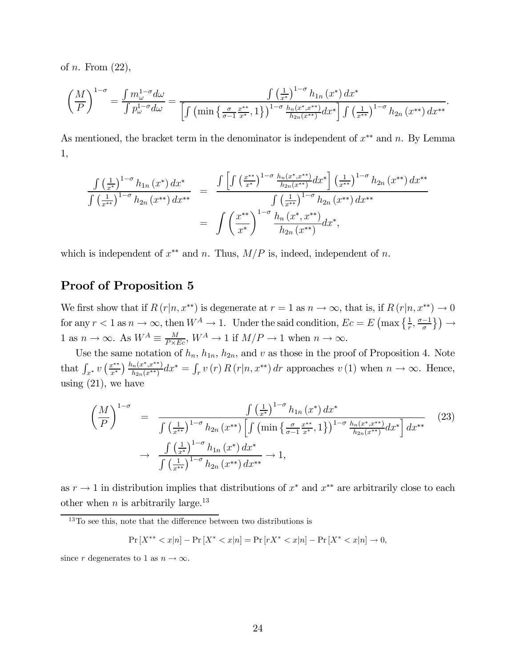of *n*. From  $(22)$ ,

$$
\left(\frac{M}{P}\right)^{1-\sigma} = \frac{\int m_{\omega}^{1-\sigma} d\omega}{\int p_{\omega}^{1-\sigma} d\omega} = \frac{\int \left(\frac{1}{x^*}\right)^{1-\sigma} h_{1n}(x^*) dx^*}{\left[\int \left(\min\left\{\frac{\sigma}{\sigma-1} \frac{x^{**}}{x^*}, 1\right\}\right)^{1-\sigma} \frac{h_{n}(x^*, x^{**})}{h_{2n}(x^{**})} dx^*\right] \int \left(\frac{1}{x^{**}}\right)^{1-\sigma} h_{2n}(x^{**}) dx^*}.
$$

As mentioned, the bracket term in the denominator is independent of  $x^{**}$  and n. By Lemma 1,

$$
\frac{\int \left(\frac{1}{x^*}\right)^{1-\sigma} h_{1n}(x^*) dx^*}{\int \left(\frac{1}{x^{**}}\right)^{1-\sigma} h_{2n}(x^{**}) dx^{**}} = \frac{\int \left[\int \left(\frac{x^{**}}{x^*}\right)^{1-\sigma} \frac{h_{n}(x^*, x^{**})}{h_{2n}(x^{**})} dx^*\right] \left(\frac{1}{x^{**}}\right)^{1-\sigma} h_{2n}(x^{**}) dx^{**}}{\int \left(\frac{1}{x^{**}}\right)^{1-\sigma} h_{2n}(x^{**}) dx^{**}}
$$
\n
$$
= \int \left(\frac{x^{**}}{x^*}\right)^{1-\sigma} \frac{h_{n}(x^*, x^{**})}{h_{2n}(x^{**})} dx^*,
$$

which is independent of  $x^{**}$  and n. Thus,  $M/P$  is, indeed, independent of n.

### Proof of Proposition 5

We first show that if  $R(r|n, x^{**})$  is degenerate at  $r = 1$  as  $n \to \infty$ , that is, if  $R(r|n, x^{**}) \to 0$ for any  $r < 1$  as  $n \to \infty$ , then  $W^A \to 1$ . Under the said condition,  $Ec = E\left(\max\left\{\frac{1}{r}, \frac{\sigma-1}{\sigma}\right\}\right) \to$ 1 as  $n \to \infty$ . As  $W^A \equiv \frac{M}{P \times Ec}$ ,  $W^A \to 1$  if  $M/P \to 1$  when  $n \to \infty$ .

Use the same notation of  $h_n$ ,  $h_{1n}$ ,  $h_{2n}$ , and  $v$  as those in the proof of Proposition 4. Note that  $\int_{x^*} v\left(\frac{x^{**}}{x^*}\right) \frac{h_n(x^*, x^{**})}{h_{2n}(x^{**})} dx^* = \int_r v(r) R(r|n, x^{**}) dr$  approaches  $v(1)$  when  $n \to \infty$ . Hence, using  $(21)$ , we have

$$
\left(\frac{M}{P}\right)^{1-\sigma} = \frac{\int \left(\frac{1}{x^*}\right)^{1-\sigma} h_{1n}(x^*) dx^*}{\int \left(\frac{1}{x^{**}}\right)^{1-\sigma} h_{2n}(x^{**}) \left[\int \left(\min\left\{\frac{\sigma}{\sigma-1} \frac{x^{**}}{x^*}, 1\right\}\right)^{1-\sigma} \frac{h_n(x^*, x^{**})}{h_{2n}(x^{**})} dx^*\right] dx^{**}} \right] dx^{**}
$$
\n
$$
\to \frac{\int \left(\frac{1}{x^*}\right)^{1-\sigma} h_{1n}(x^*) dx^*}{\int \left(\frac{1}{x^{**}}\right)^{1-\sigma} h_{2n}(x^{**}) dx^{**}} \to 1,
$$
\n(23)

as  $r \to 1$  in distribution implies that distributions of  $x^*$  and  $x^{**}$  are arbitrarily close to each other when *n* is arbitrarily large.<sup>13</sup>

$$
\Pr\left[X^{**} < x|n\right] - \Pr\left[X^* < x|n\right] = \Pr\left[rX^* < x|n\right] - \Pr\left[X^* < x|n\right] \to 0,
$$

since r degenerates to 1 as  $n \to \infty$ .

 $13$ To see this, note that the difference between two distributions is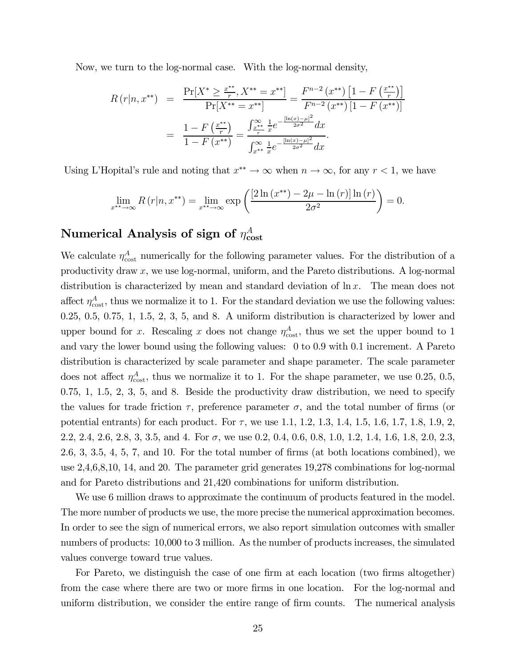Now, we turn to the log-normal case. With the log-normal density,

$$
R(r|n, x^{**}) = \frac{\Pr[X^* \ge \frac{x^{**}}{r}, X^{**} = x^{**}]}{\Pr[X^{**} = x^{**}]} = \frac{F^{n-2}(x^{**})[1 - F(\frac{x^{**}}{r})]}{F^{n-2}(x^{**})[1 - F(x^{**})]}
$$

$$
= \frac{1 - F(\frac{x^{**}}{r})}{1 - F(x^{**})} = \frac{\int_{\frac{x^{**}}{r}}^{\infty} \frac{1}{x} e^{-\frac{[\ln(x) - \mu]^2}{2\sigma^2}} dx}{\int_{x^{**}}^{\infty} \frac{1}{x} e^{-\frac{[\ln(x) - \mu]^2}{2\sigma^2}} dx}.
$$

Using L'Hopital's rule and noting that  $x^{**} \to \infty$  when  $n \to \infty$ , for any  $r < 1$ , we have

$$
\lim_{x^{**}\to\infty} R(r|n, x^{**}) = \lim_{x^{**}\to\infty} \exp\left(\frac{[2\ln(x^{**}) - 2\mu - \ln(r)]\ln(r)}{2\sigma^2}\right) = 0.
$$

# Numerical Analysis of sign of  $\eta^A_{\rm cost}$

We calculate  $\eta_{\text{cost}}^A$  numerically for the following parameter values. For the distribution of a productivity draw  $x$ , we use log-normal, uniform, and the Pareto distributions. A log-normal distribution is characterized by mean and standard deviation of  $\ln x$ . The mean does not affect  $\eta_{\text{cost}}^A$ , thus we normalize it to 1. For the standard deviation we use the following values:  $0.25, 0.5, 0.75, 1, 1.5, 2, 3, 5, \text{ and } 8$ . A uniform distribution is characterized by lower and upper bound for x. Rescaling x does not change  $\eta_{\text{cost}}^A$ , thus we set the upper bound to 1 and vary the lower bound using the following values: 0 to 0.9 with 0.1 increment. A Pareto distribution is characterized by scale parameter and shape parameter. The scale parameter does not affect  $\eta_{\text{cost}}^A$ , thus we normalize it to 1. For the shape parameter, we use 0.25, 0.5, 0.75, 1, 1.5, 2, 3, 5, and 8. Beside the productivity draw distribution, we need to specify the values for trade friction  $\tau$ , preference parameter  $\sigma$ , and the total number of firms (or potential entrants) for each product. For  $\tau$ , we use 1.1, 1.2, 1.3, 1.4, 1.5, 1.6, 1.7, 1.8, 1.9, 2, 2.2, 2.4, 2.6, 2.8, 3, 3.5, and 4. For  $\sigma$ , we use 0.2, 0.4, 0.6, 0.8, 1.0, 1.2, 1.4, 1.6, 1.8, 2.0, 2.3, 2.6, 3, 3.5, 4, 5, 7, and 10. For the total number of firms (at both locations combined), we use 2,4,6,8,10, 14, and 20. The parameter grid generates 19,278 combinations for log-normal and for Pareto distributions and 21,420 combinations for uniform distribution.

We use 6 million draws to approximate the continuum of products featured in the model. The more number of products we use, the more precise the numerical approximation becomes. In order to see the sign of numerical errors, we also report simulation outcomes with smaller numbers of products: 10,000 to 3 million. As the number of products increases, the simulated values converge toward true values.

For Pareto, we distinguish the case of one firm at each location (two firms altogether) from the case where there are two or more firms in one location. For the log-normal and uniform distribution, we consider the entire range of firm counts. The numerical analysis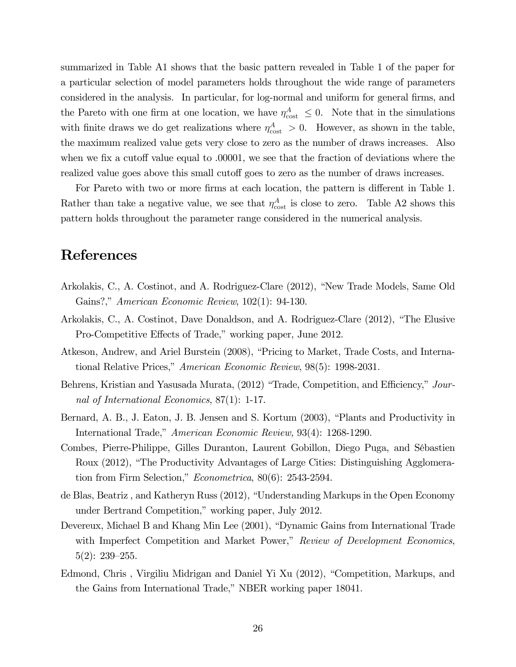summarized in Table A1 shows that the basic pattern revealed in Table 1 of the paper for a particular selection of model parameters holds throughout the wide range of parameters considered in the analysis. In particular, for log-normal and uniform for general firms, and the Pareto with one firm at one location, we have  $\eta_{\text{cost}}^A \leq 0$ . Note that in the simulations with finite draws we do get realizations where  $\eta_{\text{cost}}^A > 0$ . However, as shown in the table, the maximum realized value gets very close to zero as the number of draws increases. Also when we fix a cutoff value equal to .00001, we see that the fraction of deviations where the realized value goes above this small cutoff goes to zero as the number of draws increases.

For Pareto with two or more firms at each location, the pattern is different in Table 1. Rather than take a negative value, we see that  $\eta_{\text{cost}}^A$  is close to zero. Table A2 shows this pattern holds throughout the parameter range considered in the numerical analysis.

# References

- Arkolakis, C., A. Costinot, and A. Rodriguez-Clare (2012), "New Trade Models, Same Old Gains?," American Economic Review, 102(1): 94-130.
- Arkolakis, C., A. Costinot, Dave Donaldson, and A. Rodriguez-Clare (2012), "The Elusive Pro-Competitive Effects of Trade," working paper, June 2012.
- Atkeson, Andrew, and Ariel Burstein (2008), "Pricing to Market, Trade Costs, and International Relative Prices," American Economic Review, 98(5): 1998-2031.
- Behrens, Kristian and Yasusada Murata, (2012) "Trade, Competition, and Efficiency," Journal of International Economics, 87(1): 1-17.
- Bernard, A. B., J. Eaton, J. B. Jensen and S. Kortum (2003), "Plants and Productivity in International Trade," American Economic Review, 93(4): 1268-1290.
- Combes, Pierre-Philippe, Gilles Duranton, Laurent Gobillon, Diego Puga, and Sébastien Roux (2012), "The Productivity Advantages of Large Cities: Distinguishing Agglomeration from Firm Selection," Econometrica, 80(6): 2543-2594.
- de Blas, Beatriz , and Katheryn Russ (2012), "Understanding Markups in the Open Economy under Bertrand Competition," working paper, July 2012.
- Devereux, Michael B and Khang Min Lee (2001), "Dynamic Gains from International Trade with Imperfect Competition and Market Power," Review of Development Economics, 5(2): 239—255.
- Edmond, Chris , Virgiliu Midrigan and Daniel Yi Xu (2012), "Competition, Markups, and the Gains from International Trade," NBER working paper 18041.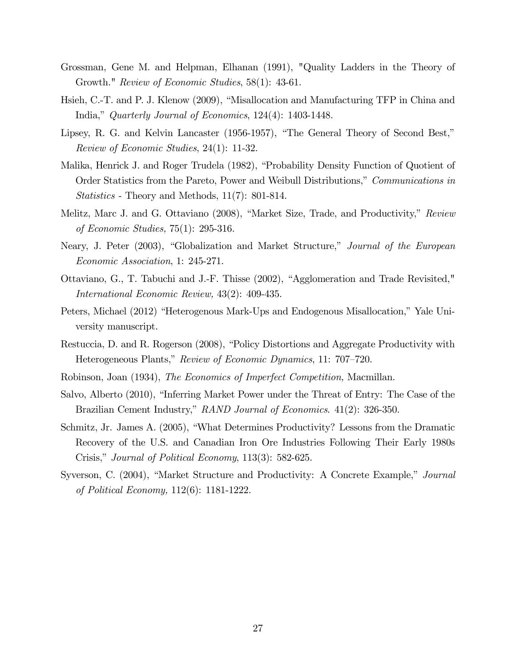- Grossman, Gene M. and Helpman, Elhanan (1991), "Quality Ladders in the Theory of Growth." *Review of Economic Studies*, 58(1): 43-61.
- Hsieh, C.-T. and P. J. Klenow (2009), "Misallocation and Manufacturing TFP in China and India," Quarterly Journal of Economics, 124(4): 1403-1448.
- Lipsey, R. G. and Kelvin Lancaster (1956-1957), "The General Theory of Second Best," Review of Economic Studies, 24(1): 11-32.
- Malika, Henrick J. and Roger Trudela (1982), "Probability Density Function of Quotient of Order Statistics from the Pareto, Power and Weibull Distributions," Communications in Statistics - Theory and Methods, 11(7): 801-814.
- Melitz, Marc J. and G. Ottaviano (2008), "Market Size, Trade, and Productivity," Review of Economic Studies, 75(1): 295-316.
- Neary, J. Peter (2003), "Globalization and Market Structure," Journal of the European Economic Association, 1: 245-271.
- Ottaviano, G., T. Tabuchi and J.-F. Thisse (2002), "Agglomeration and Trade Revisited," International Economic Review, 43(2): 409-435.
- Peters, Michael (2012) "Heterogenous Mark-Ups and Endogenous Misallocation," Yale University manuscript.
- Restuccia, D. and R. Rogerson (2008), "Policy Distortions and Aggregate Productivity with Heterogeneous Plants," Review of Economic Dynamics, 11: 707—720.
- Robinson, Joan (1934), The Economics of Imperfect Competition, Macmillan.
- Salvo, Alberto (2010), "Inferring Market Power under the Threat of Entry: The Case of the Brazilian Cement Industry," RAND Journal of Economics. 41(2): 326-350.
- Schmitz, Jr. James A. (2005), "What Determines Productivity? Lessons from the Dramatic Recovery of the U.S. and Canadian Iron Ore Industries Following Their Early 1980s Crisis," Journal of Political Economy, 113(3): 582-625.
- Syverson, C. (2004), "Market Structure and Productivity: A Concrete Example," Journal of Political Economy, 112(6): 1181-1222.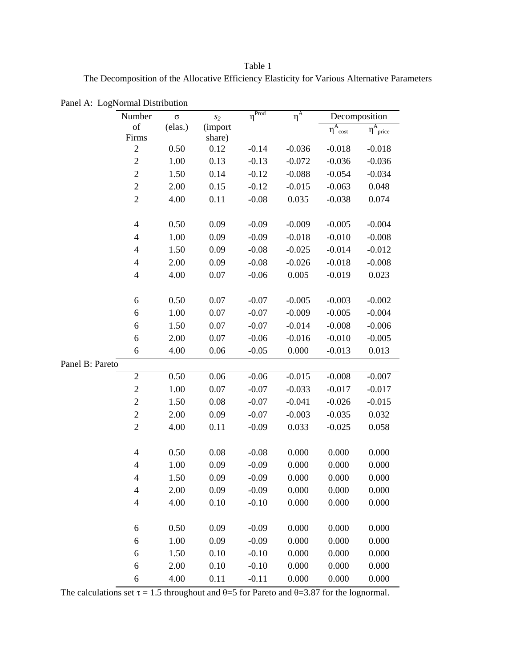Table 1 The Decomposition of the Allocative Efficiency Elasticity for Various Alternative Parameters

|                 | Number                   | $\sigma$ | $s_2$   | $\eta^{\text{Prod}}$ | $\eta^A$ | Decomposition       |                                 |
|-----------------|--------------------------|----------|---------|----------------------|----------|---------------------|---------------------------------|
|                 | of                       | (elas.)  | (import |                      |          | $\eta^A_{\rm cost}$ | $\eta^{\rm A}$ <sub>price</sub> |
|                 | Firms                    |          | share)  |                      |          |                     |                                 |
|                 | $\overline{c}$           | 0.50     | 0.12    | $-0.14$              | $-0.036$ | $-0.018$            | $-0.018$                        |
|                 | $\overline{c}$           | 1.00     | 0.13    | $-0.13$              | $-0.072$ | $-0.036$            | $-0.036$                        |
|                 | $\overline{c}$           | 1.50     | 0.14    | $-0.12$              | $-0.088$ | $-0.054$            | $-0.034$                        |
|                 | $\overline{c}$           | 2.00     | 0.15    | $-0.12$              | $-0.015$ | $-0.063$            | 0.048                           |
|                 | $\overline{2}$           | 4.00     | 0.11    | $-0.08$              | 0.035    | $-0.038$            | 0.074                           |
|                 |                          |          |         |                      |          |                     |                                 |
|                 | $\overline{\mathcal{A}}$ | 0.50     | 0.09    | $-0.09$              | $-0.009$ | $-0.005$            | $-0.004$                        |
|                 | $\overline{4}$           | 1.00     | 0.09    | $-0.09$              | $-0.018$ | $-0.010$            | $-0.008$                        |
|                 | $\overline{\mathcal{A}}$ | 1.50     | 0.09    | $-0.08$              | $-0.025$ | $-0.014$            | $-0.012$                        |
|                 | $\overline{4}$           | 2.00     | 0.09    | $-0.08$              | $-0.026$ | $-0.018$            | $-0.008$                        |
|                 | $\overline{4}$           | 4.00     | 0.07    | $-0.06$              | 0.005    | $-0.019$            | 0.023                           |
|                 |                          |          |         |                      |          |                     |                                 |
|                 | 6                        | 0.50     | 0.07    | $-0.07$              | $-0.005$ | $-0.003$            | $-0.002$                        |
|                 | 6                        | 1.00     | 0.07    | $-0.07$              | $-0.009$ | $-0.005$            | $-0.004$                        |
|                 | 6                        | 1.50     | 0.07    | $-0.07$              | $-0.014$ | $-0.008$            | $-0.006$                        |
|                 | 6                        | 2.00     | 0.07    | $-0.06$              | $-0.016$ | $-0.010$            | $-0.005$                        |
|                 | 6                        | 4.00     | 0.06    | $-0.05$              | 0.000    | $-0.013$            | 0.013                           |
| Panel B: Pareto |                          |          |         |                      |          |                     |                                 |
|                 | $\overline{2}$           | 0.50     | 0.06    | $-0.06$              | $-0.015$ | $-0.008$            | $-0.007$                        |
|                 | $\mathbf{2}$             | 1.00     | 0.07    | $-0.07$              | $-0.033$ | $-0.017$            | $-0.017$                        |
|                 | $\mathbf{2}$             | 1.50     | 0.08    | $-0.07$              | $-0.041$ | $-0.026$            | $-0.015$                        |
|                 | $\sqrt{2}$               | 2.00     | 0.09    | $-0.07$              | $-0.003$ | $-0.035$            | 0.032                           |
|                 | $\overline{2}$           | 4.00     | 0.11    | $-0.09$              | 0.033    | $-0.025$            | 0.058                           |
|                 |                          |          |         |                      |          |                     |                                 |
|                 | $\overline{\mathcal{A}}$ | 0.50     | 0.08    | $-0.08$              | 0.000    | 0.000               | 0.000                           |
|                 | $\overline{\mathcal{A}}$ | 1.00     | 0.09    | $-0.09$              | 0.000    | 0.000               | 0.000                           |
|                 | $\overline{\mathcal{A}}$ | 1.50     | 0.09    | $-0.09$              | 0.000    | 0.000               | 0.000                           |
|                 | 4                        | 2.00     | 0.09    | $-0.09$              | 0.000    | 0.000               | 0.000                           |
|                 | $\overline{\mathcal{L}}$ | 4.00     | 0.10    | $-0.10$              | 0.000    | 0.000               | 0.000                           |
|                 |                          |          |         |                      |          |                     |                                 |
|                 | 6                        | 0.50     | 0.09    | $-0.09$              | 0.000    | 0.000               | 0.000                           |
|                 | 6                        | 1.00     | 0.09    | $-0.09$              | 0.000    | 0.000               | 0.000                           |
|                 | 6                        | 1.50     | 0.10    | $-0.10$              | 0.000    | 0.000               | 0.000                           |
|                 | 6                        | 2.00     | 0.10    | $-0.10$              | 0.000    | 0.000               | 0.000                           |
|                 | 6                        | 4.00     | 0.11    | $-0.11$              | 0.000    | 0.000               | 0.000                           |
|                 |                          |          |         |                      |          |                     |                                 |

Panel A: LogNormal Distribution

The calculations set  $\tau = 1.5$  throughout and  $\theta = 5$  for Pareto and  $\theta = 3.87$  for the lognormal.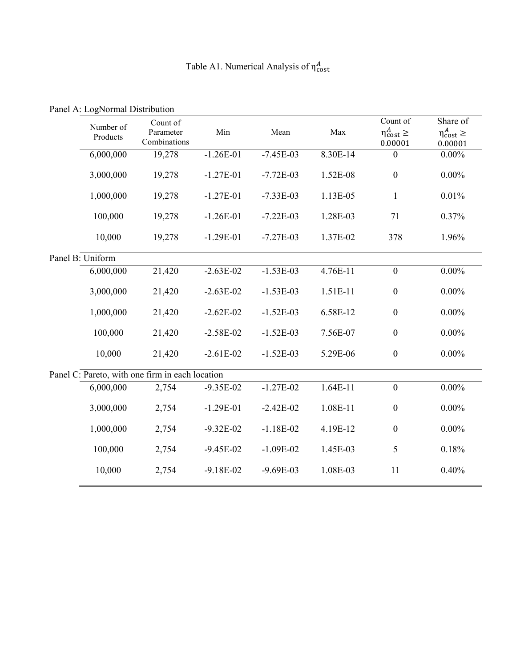| Table A1. Numerical Analysis of $\eta_{cost}^A$ |  |  |
|-------------------------------------------------|--|--|
|-------------------------------------------------|--|--|

|                                                 |                  | Count of<br>Number of     |               |               |            | Count of                       | Share of                       |
|-------------------------------------------------|------------------|---------------------------|---------------|---------------|------------|--------------------------------|--------------------------------|
|                                                 | Products         | Parameter<br>Combinations | Min           | Mean          | Max        | $\eta_{cost}^A \ge$<br>0.00001 | $\eta_{cost}^A \ge$<br>0.00001 |
|                                                 | 6,000,000        | 19,278                    | $-1.26E-01$   | $-7.45E-03$   | 8.30E-14   | $\boldsymbol{0}$               | $0.00\%$                       |
|                                                 | 3,000,000        | 19,278                    | $-1.27E-01$   | $-7.72E-03$   | 1.52E-08   | $\boldsymbol{0}$               | $0.00\%$                       |
|                                                 | 1,000,000        | 19,278                    | $-1.27E-01$   | $-7.33E-03$   | 1.13E-05   | $\mathbf{1}$                   | 0.01%                          |
|                                                 | 100,000          | 19,278                    | $-1.26E-01$   | $-7.22E - 03$ | 1.28E-03   | 71                             | 0.37%                          |
|                                                 | 10,000           | 19,278                    | $-1.29E-01$   | $-7.27E-03$   | 1.37E-02   | 378                            | 1.96%                          |
|                                                 | Panel B: Uniform |                           |               |               |            |                                |                                |
|                                                 | 6,000,000        | 21,420                    | $-2.63E-02$   | $-1.53E-03$   | 4.76E-11   | $\boldsymbol{0}$               | $0.00\%$                       |
|                                                 | 3,000,000        | 21,420                    | $-2.63E-02$   | $-1.53E-03$   | 1.51E-11   | $\boldsymbol{0}$               | $0.00\%$                       |
|                                                 | 1,000,000        | 21,420                    | $-2.62E - 02$ | $-1.52E-03$   | 6.58E-12   | $\boldsymbol{0}$               | $0.00\%$                       |
|                                                 | 100,000          | 21,420                    | $-2.58E-02$   | $-1.52E-03$   | 7.56E-07   | $\boldsymbol{0}$               | $0.00\%$                       |
|                                                 | 10,000           | 21,420                    | $-2.61E-02$   | $-1.52E-03$   | 5.29E-06   | $\boldsymbol{0}$               | $0.00\%$                       |
| Panel C: Pareto, with one firm in each location |                  |                           |               |               |            |                                |                                |
|                                                 | 6,000,000        | 2,754                     | $-9.35E - 02$ | $-1.27E-02$   | $1.64E-11$ | $\boldsymbol{0}$               | $0.00\%$                       |
|                                                 | 3,000,000        | 2,754                     | $-1.29E-01$   | $-2.42E - 02$ | 1.08E-11   | $\boldsymbol{0}$               | $0.00\%$                       |
|                                                 | 1,000,000        | 2,754                     | $-9.32E - 02$ | $-1.18E-02$   | 4.19E-12   | $\boldsymbol{0}$               | $0.00\%$                       |
|                                                 | 100,000          | 2,754                     | $-9.45E-02$   | $-1.09E-02$   | 1.45E-03   | 5                              | 0.18%                          |
|                                                 | 10,000           | 2,754                     | $-9.18E - 02$ | $-9.69E-03$   | 1.08E-03   | 11                             | 0.40%                          |

Panel A: LogNormal Distribution